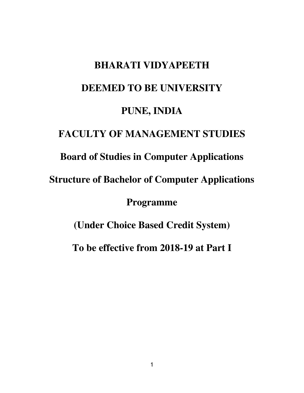# **BHARATI VIDYAPEETH DEEMED TO BE UNIVERSITY PUNE, INDIA FACULTY OF MANAGEMENT STUDIES Board of Studies in Computer Applications Structure of Bachelor of Computer Applications Programme (Under Choice Based Credit System) To be effective from 2018-19 at Part I**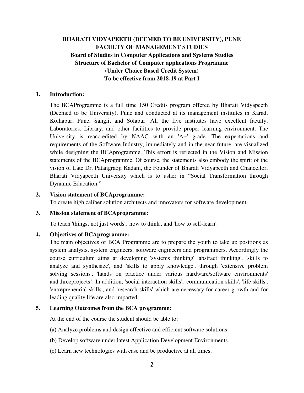# **BHARATI VIDYAPEETH (DEEMED TO BE UNIVERSITY), PUNE FACULTY OF MANAGEMENT STUDIES Board of Studies in Computer Applications and Systems Studies Structure of Bachelor of Computer applications Programme (Under Choice Based Credit System) To be effective from 2018-19 at Part I**

#### **1. Introduction:**

 The BCAProgramme is a full time 150 Credits program offered by Bharati Vidyapeeth (Deemed to be University), Pune and conducted at its management institutes in Karad, Kolhapur, Pune, Sangli, and Solapur. All the five institutes have excellent faculty, Laboratories, Library, and other facilities to provide proper learning environment. The University is reaccredited by NAAC with an 'A+' grade. The expectations and requirements of the Software Industry, immediately and in the near future, are visualized while designing the BCAprogramme. This effort is reflected in the Vision and Mission statements of the BCAprogramme. Of course, the statements also embody the spirit of the vision of Late Dr. Patangraoji Kadam, the Founder of Bharati Vidyapeeth and Chancellor, Bharati Vidyapeeth University which is to usher in "Social Transformation through Dynamic Education."

#### **2. Vision statement of BCAprogramme:**

To create high caliber solution architects and innovators for software development.

#### **3. Mission statement of BCAprogramme:**

To teach 'things, not just words', 'how to think', and 'how to self-learn'.

#### **4. Objectives of BCAprogramme:**

 The main objectives of BCA Programme are to prepare the youth to take up positions as system analysts, system engineers, software engineers and programmers. Accordingly the course curriculum aims at developing 'systems thinking' 'abstract thinking', 'skills to analyze and synthesize', and 'skills to apply knowledge', through 'extensive problem solving sessions', 'hands on practice under various hardware/software environments' and'threeprojects'. In addition, 'social interaction skills', 'communication skills', 'life skills', 'entrepreneurial skills', and 'research skills' which are necessary for career growth and for leading quality life are also imparted.

#### **5. Learning Outcomes from the BCA programme:**

At the end of the course the student should be able to:

- (a) Analyze problems and design effective and efficient software solutions.
- (b) Develop software under latest Application Development Environments.
- (c) Learn new technologies with ease and be productive at all times.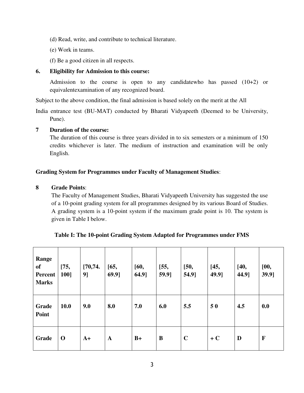- (d) Read, write, and contribute to technical literature.
- (e) Work in teams.
- (f) Be a good citizen in all respects.

#### **6. Eligibility for Admission to this course:**

 Admission to the course is open to any candidatewho has passed (10+2) or equivalentexamination of any recognized board.

Subject to the above condition, the final admission is based solely on the merit at the All

India entrance test (BU-MAT) conducted by Bharati Vidyapeeth (Deemed to be University, Pune).

#### **7 Duration of the course:**

 The duration of this course is three years divided in to six semesters or a minimum of 150 credits whichever is later. The medium of instruction and examination will be only English.

#### **Grading System for Programmes under Faculty of Management Studies**:

#### **8 Grade Points**:

The Faculty of Management Studies, Bharati Vidyapeeth University has suggested the use of a 10-point grading system for all programmes designed by its various Board of Studies. A grading system is a 10-point system if the maximum grade point is 10. The system is given in Table I below.

| Range<br><b>of</b><br>Percent<br><b>Marks</b> | [75,<br>100] | [70, 74.<br>9] | $[65,$<br>69.9] | [60,<br>64.9] | [55,<br>59.9] | $[50,$<br>54.9] | [45,<br>49.9] | $[40,$<br>44.9] | [00,<br>39.9] |
|-----------------------------------------------|--------------|----------------|-----------------|---------------|---------------|-----------------|---------------|-----------------|---------------|
| Grade<br>Point                                | <b>10.0</b>  | 9.0            | 8.0             | 7.0           | 6.0           | 5.5             | 50            | 4.5             | 0.0           |
| Grade                                         | $\mathbf 0$  | $A+$           | $\mathbf A$     | $B+$          | B             | $\mathbf C$     | $+C$          | D               | F             |

#### **Table I: The 10-point Grading System Adapted for Programmes under FMS**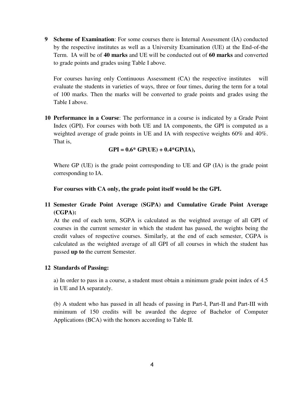**9 Scheme of Examination**: For some courses there is Internal Assessment (IA) conducted by the respective institutes as well as a University Examination (UE) at the End-of-the Term. IA will be of **40 marks** and UE will be conducted out of **60 marks** and converted to grade points and grades using Table I above.

For courses having only Continuous Assessment (CA) the respective institutes will evaluate the students in varieties of ways, three or four times, during the term for a total of 100 marks. Then the marks will be converted to grade points and grades using the Table I above.

**10 Performance in a Course**: The performance in a course is indicated by a Grade Point Index (GPI). For courses with both UE and IA components, the GPI is computed as a weighted average of grade points in UE and IA with respective weights 60% and 40%. That is,

```
GPI = 0.6* GP(UE) + 0.4*GP(IA),
```
Where GP (UE) is the grade point corresponding to UE and GP (IA) is the grade point corresponding to IA.

**For courses with CA only, the grade point itself would be the GPI.** 

**11 Semester Grade Point Average (SGPA) and Cumulative Grade Point Average (CGPA):** 

At the end of each term, SGPA is calculated as the weighted average of all GPI of courses in the current semester in which the student has passed, the weights being the credit values of respective courses. Similarly, at the end of each semester, CGPA is calculated as the weighted average of all GPI of all courses in which the student has passed **up to** the current Semester.

#### **12 Standards of Passing:**

a) In order to pass in a course, a student must obtain a minimum grade point index of 4.5 in UE and IA separately.

(b) A student who has passed in all heads of passing in Part-I, Part-II and Part-III with minimum of 150 credits will be awarded the degree of Bachelor of Computer Applications (BCA) with the honors according to Table II.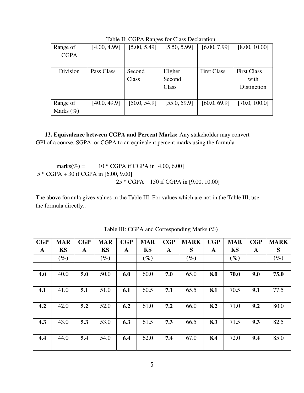| Range of        | [4.00, 4.99] | [5.00, 5.49] | [5.50, 5.99] | [6.00, 7.99]       | [8.00, 10.00]      |
|-----------------|--------------|--------------|--------------|--------------------|--------------------|
| <b>CGPA</b>     |              |              |              |                    |                    |
|                 |              |              |              |                    |                    |
| <b>Division</b> | Pass Class   | Second       | Higher       | <b>First Class</b> | <b>First Class</b> |
|                 |              | Class        | Second       |                    | with               |
|                 |              |              | Class        |                    | Distinction        |
|                 |              |              |              |                    |                    |
| Range of        | [40.0, 49.9] | [50.0, 54.9] | [55.0, 59.9] | [60.0, 69.9]       | [70.0, 100.0]      |
| Marks $(\%)$    |              |              |              |                    |                    |

Table II: CGPA Ranges for Class Declaration

 **13. Equivalence between CGPA and Percent Marks:** Any stakeholder may convert GPI of a course, SGPA, or CGPA to an equivalent percent marks using the formula

marks(%) =  $10 * CGPA$  if CGPA in [4.00, 6.00] 5 \* CGPA + 30 if CGPA in [6.00, 9.00] 25 \* CGPA – 150 if CGPA in [9.00, 10.00]

The above formula gives values in the Table III. For values which are not in the Table III, use the formula directly..

| CGP | <b>MAR</b> | CGP | <b>MAR</b> | CGP | <b>MAR</b> | CGP | <b>MARK</b> | CGP | <b>MAR</b> | CGP | <b>MARK</b> |
|-----|------------|-----|------------|-----|------------|-----|-------------|-----|------------|-----|-------------|
| A   | KS         | A   | <b>KS</b>  | A   | <b>KS</b>  | A   | S           | A   | <b>KS</b>  | A   | S           |
|     | $(\%)$     |     | $(\%)$     |     | $(\%)$     |     | $(\%)$      |     | $(\%)$     |     | $(\%)$      |
|     |            |     |            |     |            |     |             |     |            |     |             |
| 4.0 | 40.0       | 5.0 | 50.0       | 6.0 | 60.0       | 7.0 | 65.0        | 8.0 | 70.0       | 9.0 | 75.0        |
|     |            |     |            |     |            |     |             |     |            |     |             |
| 4.1 | 41.0       | 5.1 | 51.0       | 6.1 | 60.5       | 7.1 | 65.5        | 8.1 | 70.5       | 9.1 | 77.5        |
|     |            |     |            |     |            |     |             |     |            |     |             |
| 4.2 | 42.0       | 5.2 | 52.0       | 6.2 | 61.0       | 7.2 | 66.0        | 8.2 | 71.0       | 9.2 | 80.0        |
|     |            |     |            |     |            |     |             |     |            |     |             |
| 4.3 | 43.0       | 5.3 | 53.0       | 6.3 | 61.5       | 7.3 | 66.5        | 8.3 | 71.5       | 9.3 | 82.5        |
|     |            |     |            |     |            |     |             |     |            |     |             |
| 4.4 | 44.0       | 5.4 | 54.0       | 6.4 | 62.0       | 7.4 | 67.0        | 8.4 | 72.0       | 9.4 | 85.0        |
|     |            |     |            |     |            |     |             |     |            |     |             |

Table III: CGPA and Corresponding Marks (%)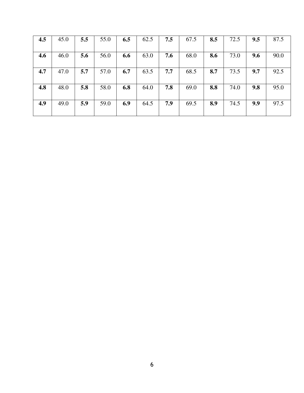| 4.5 | 45.0 | 5.5 | 55.0 | 6.5 | 62.5 | 7.5 | 67.5 | 8.5 | 72.5 | 9.5 | 87.5 |
|-----|------|-----|------|-----|------|-----|------|-----|------|-----|------|
| 4.6 | 46.0 | 5.6 | 56.0 | 6.6 | 63.0 | 7.6 | 68.0 | 8.6 | 73.0 | 9.6 | 90.0 |
| 4.7 | 47.0 | 5.7 | 57.0 | 6.7 | 63.5 | 7.7 | 68.5 | 8.7 | 73.5 | 9.7 | 92.5 |
| 4.8 | 48.0 | 5.8 | 58.0 | 6.8 | 64.0 | 7.8 | 69.0 | 8.8 | 74.0 | 9.8 | 95.0 |
| 4.9 | 49.0 | 5.9 | 59.0 | 6.9 | 64.5 | 7.9 | 69.5 | 8.9 | 74.5 | 9.9 | 97.5 |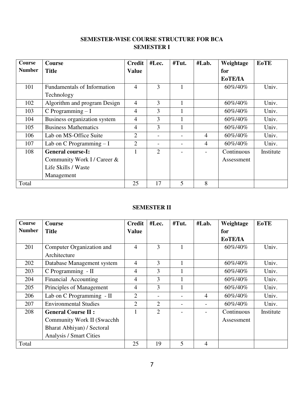# **SEMESTER-WISE COURSE STRUCTURE FOR BCA SEMESTER I**

| <b>Course</b> | <b>Course</b>                      | <b>Credit</b>  | #Lec.                    | #Tut. | #Lab.          | Weightage  | <b>EoTE</b> |
|---------------|------------------------------------|----------------|--------------------------|-------|----------------|------------|-------------|
| <b>Number</b> | <b>Title</b>                       | <b>Value</b>   |                          |       |                | for        |             |
|               |                                    |                |                          |       |                | EoTE/IA    |             |
| 101           | <b>Fundamentals of Information</b> | $\overline{4}$ | 3                        |       |                | 60%/40%    | Univ.       |
|               | Technology                         |                |                          |       |                |            |             |
| 102           | Algorithm and program Design       | $\overline{4}$ | 3                        |       |                | 60%/40%    | Univ.       |
| 103           | C Programming $-I$                 | $\overline{4}$ | 3                        | 1     |                | 60%/40%    | Univ.       |
| 104           | Business organization system       | $\overline{4}$ | 3                        |       |                | 60%/40%    | Univ.       |
| 105           | <b>Business Mathematics</b>        | $\overline{4}$ | 3                        |       |                | 60%/40%    | Univ.       |
| 106           | Lab on MS-Office Suite             | $\overline{2}$ | $\overline{\phantom{0}}$ |       | $\overline{4}$ | 60\%/40\%  | Univ.       |
| 107           | Lab on C Programming $-I$          | $\overline{2}$ | $\overline{\phantom{0}}$ |       | $\overline{4}$ | 60\%/40\%  | Univ.       |
| 108           | <b>General course-I:</b>           |                | $\overline{2}$           |       |                | Continuous | Institute   |
|               | Community Work I / Career &        |                |                          |       |                | Assessment |             |
|               | Life Skills / Waste                |                |                          |       |                |            |             |
|               | Management                         |                |                          |       |                |            |             |
| Total         |                                    | 25             | 17                       | 5     | 8              |            |             |

# **SEMESTER II**

| <b>Course</b> | <b>Course</b>                  | <b>Credit</b>  | #Lec.          | #Tut. | #Lab.          | Weightage  | <b>EoTE</b> |
|---------------|--------------------------------|----------------|----------------|-------|----------------|------------|-------------|
| <b>Number</b> | <b>Title</b>                   | <b>Value</b>   |                |       |                | for        |             |
|               |                                |                |                |       |                | EoTE/IA    |             |
| 201           | Computer Organization and      | $\overline{4}$ | 3              |       |                | 60%/40%    | Univ.       |
|               | Architecture                   |                |                |       |                |            |             |
| 202           | Database Management system     | $\overline{4}$ | 3              |       |                | 60%/40%    | Univ.       |
| 203           | C Programming - II             | $\overline{4}$ | 3              |       |                | 60%/40%    | Univ.       |
| 204           | Financial Accounting           | $\overline{4}$ | 3              |       |                | 60%/40%    | Univ.       |
| 205           | Principles of Management       | $\overline{4}$ | 3              |       |                | 60%/40%    | Univ.       |
| 206           | Lab on C Programming - II      | $\overline{2}$ |                |       | $\overline{4}$ | 60%/40%    | Univ.       |
| 207           | <b>Environmental Studies</b>   | $\overline{2}$ | $\overline{2}$ |       |                | 60%/40%    | Univ.       |
| 208           | <b>General Course II:</b>      |                | $\overline{2}$ |       |                | Continuous | Institute   |
|               | Community Work II (Swacchh     |                |                |       |                | Assessment |             |
|               | Bharat Abhiyan) / Sectoral     |                |                |       |                |            |             |
|               | <b>Analysis / Smart Cities</b> |                |                |       |                |            |             |
| Total         |                                | 25             | 19             | 5     | 4              |            |             |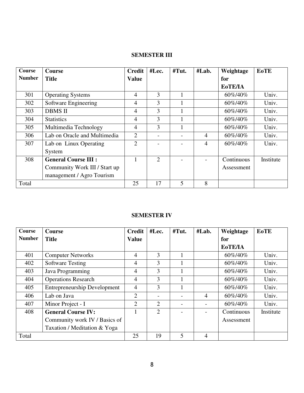# **SEMESTER III**

| Course        | <b>Course</b>                 | <b>Credit</b>  | #Lec.                    | #Tut. | #Lab. | Weightage      | <b>EoTE</b> |
|---------------|-------------------------------|----------------|--------------------------|-------|-------|----------------|-------------|
| <b>Number</b> | <b>Title</b>                  | <b>Value</b>   |                          |       |       | for            |             |
|               |                               |                |                          |       |       | <b>EoTE/IA</b> |             |
| 301           | <b>Operating Systems</b>      | 4              | 3                        |       |       | 60%/40%        | Univ.       |
| 302           | Software Engineering          | $\overline{4}$ | 3                        |       |       | 60\%/40\%      | Univ.       |
| 303           | <b>DBMS II</b>                | $\overline{4}$ | 3                        |       |       | 60\%/40\%      | Univ.       |
| 304           | <b>Statistics</b>             | $\overline{4}$ | 3                        |       |       | 60\%/40\%      | Univ.       |
| 305           | Multimedia Technology         | $\overline{4}$ | 3                        |       |       | 60\%/40\%      | Univ.       |
| 306           | Lab on Oracle and Multimedia  | $\overline{2}$ | $\overline{\phantom{0}}$ |       | 4     | 60%/40%        | Univ.       |
| 307           | Lab on Linux Operating        | $\overline{2}$ |                          |       | 4     | 60\%/40\%      | Univ.       |
|               | System                        |                |                          |       |       |                |             |
| 308           | <b>General Course III :</b>   |                | $\overline{2}$           |       |       | Continuous     | Institute   |
|               | Community Work III / Start up |                |                          |       |       | Assessment     |             |
|               | management / Agro Tourism     |                |                          |       |       |                |             |
| Total         |                               | 25             | 17                       | 5     | 8     |                |             |

#### **SEMESTER IV**

| <b>Course</b> | <b>Course</b>                       | <b>Credit</b>  | #Lec. | #Tut. | #Lab.          | Weightage      | <b>EoTE</b> |
|---------------|-------------------------------------|----------------|-------|-------|----------------|----------------|-------------|
| <b>Number</b> | <b>Title</b>                        | <b>Value</b>   |       |       |                | for            |             |
|               |                                     |                |       |       |                | <b>EoTE/IA</b> |             |
| 401           | <b>Computer Networks</b>            | $\overline{4}$ | 3     |       |                | 60%/40%        | Univ.       |
| 402           | <b>Software Testing</b>             | $\overline{4}$ | 3     |       |                | 60\%/40\%      | Univ.       |
| 403           | Java Programming                    | $\overline{4}$ | 3     |       |                | 60%/40%        | Univ.       |
| 404           | <b>Operations Research</b>          | $\overline{4}$ | 3     |       |                | 60\%/40\%      | Univ.       |
| 405           | <b>Entrepreneurship Development</b> | $\overline{4}$ | 3     |       |                | 60\%/40\%      | Univ.       |
| 406           | Lab on Java                         | $\overline{2}$ |       |       | $\overline{4}$ | 60\%/40\%      | Univ.       |
| 407           | Minor Project - I                   | $\overline{2}$ | 2     |       |                | 60\%/40\%      | Univ.       |
| 408           | <b>General Course IV:</b>           |                | 2     |       |                | Continuous     | Institute   |
|               | Community work IV / Basics of       |                |       |       |                | Assessment     |             |
|               | Taxation / Meditation & Yoga        |                |       |       |                |                |             |
| Total         |                                     | 25             | 19    | 5     | 4              |                |             |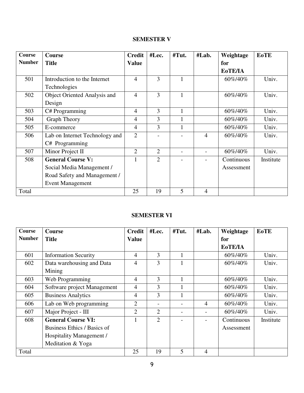# **SEMESTER V**

| <b>Course</b> | <b>Course</b>                  | <b>Credit</b>  | #Lec.          | #Tut. | #Lab.          | Weightage  | <b>EoTE</b> |
|---------------|--------------------------------|----------------|----------------|-------|----------------|------------|-------------|
| <b>Number</b> | <b>Title</b>                   | <b>Value</b>   |                |       |                | for        |             |
|               |                                |                |                |       |                | EoTE/IA    |             |
| 501           | Introduction to the Internet   | 4              | 3              |       |                | 60%/40%    | Univ.       |
|               | Technologies                   |                |                |       |                |            |             |
| 502           | Object Oriented Analysis and   | 4              | 3              | 1     |                | 60%/40%    | Univ.       |
|               | Design                         |                |                |       |                |            |             |
| 503           | C# Programming                 | $\overline{4}$ | 3              | 1     |                | 60%/40%    | Univ.       |
| 504           | <b>Graph Theory</b>            | $\overline{4}$ | 3              |       |                | 60%/40%    | Univ.       |
| 505           | E-commerce                     | $\overline{4}$ | 3              |       |                | 60%/40%    | Univ.       |
| 506           | Lab on Internet Technology and | $\overline{2}$ |                |       | $\overline{4}$ | 60%/40%    | Univ.       |
|               | C# Programming                 |                |                |       |                |            |             |
| 507           | Minor Project II               | $\overline{2}$ | $\overline{2}$ |       |                | 60%/40%    | Univ.       |
| 508           | <b>General Course V:</b>       |                | $\overline{2}$ |       |                | Continuous | Institute   |
|               | Social Media Management /      |                |                |       |                | Assessment |             |
|               | Road Safety and Management /   |                |                |       |                |            |             |
|               | <b>Event Management</b>        |                |                |       |                |            |             |
| Total         |                                | 25             | 19             | 5     | 4              |            |             |

# **SEMESTER VI**

| Course        | Course                      | <b>Credit</b>  | #Lec.           | #Tut. | #Lab.          | Weightage  | <b>EoTE</b> |
|---------------|-----------------------------|----------------|-----------------|-------|----------------|------------|-------------|
| <b>Number</b> | <b>Title</b>                | <b>Value</b>   |                 |       |                | for        |             |
|               |                             |                |                 |       |                | EoTE/IA    |             |
| 601           | <b>Information Security</b> | $\overline{4}$ | 3               |       |                | 60%/40%    | Univ.       |
| 602           | Data warehousing and Data   | $\overline{4}$ | 3               |       |                | 60%/40%    | Univ.       |
|               | Mining                      |                |                 |       |                |            |             |
| 603           | Web Programming             | $\overline{4}$ | 3               |       |                | 60%/40%    | Univ.       |
| 604           | Software project Management | $\overline{4}$ | 3               |       |                | 60%/40%    | Univ.       |
| 605           | <b>Business Analytics</b>   | $\overline{4}$ | 3               |       |                | 60%/40%    | Univ.       |
| 606           | Lab on Web programming      | $\overline{2}$ | $\qquad \qquad$ |       | $\overline{4}$ | 60%/40%    | Univ.       |
| 607           | Major Project - III         | $\overline{2}$ | $\overline{2}$  |       |                | 60%/40%    | Univ.       |
| 608           | <b>General Course VI:</b>   |                | $\overline{2}$  |       |                | Continuous | Institute   |
|               | Business Ethics / Basics of |                |                 |       |                | Assessment |             |
|               | Hospitality Management /    |                |                 |       |                |            |             |
|               | Meditation & Yoga           |                |                 |       |                |            |             |
| Total         |                             | 25             | 19              | 5     | 4              |            |             |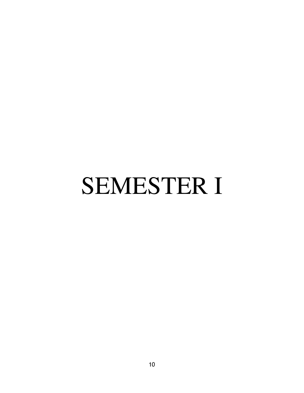# SEMESTER I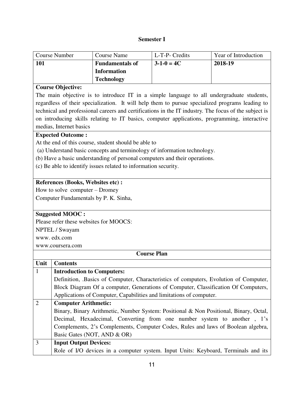#### **Semester I**

| Course Number | Course Name            | L-T-P- Credits | Year of Introduction |
|---------------|------------------------|----------------|----------------------|
| 101           | <b>Fundamentals of</b> | $3-1-0=4C$     | 2018-19              |
|               | <b>Information</b>     |                |                      |
|               | <b>Technology</b>      |                |                      |

#### **Course Objective:**

The main objective is to introduce IT in a simple language to all undergraduate students, regardless of their specialization. It will help them to pursue specialized programs leading to technical and professional careers and certifications in the IT industry. The focus of the subject is on introducing skills relating to IT basics, computer applications, programming, interactive medias, Internet basics

#### **Expected Outcome :**

At the end of this course, student should be able to

(a) Understand basic concepts and terminology of information technology.

(b) Have a basic understanding of personal computers and their operations.

(c) Be able to identify issues related to information security.

#### **References (Books, Websites etc) :**

How to solve computer – Dromey

Computer Fundamentals by P. K. Sinha,

#### **Suggested MOOC :**

Please refer these websites for MOOCS:

NPTEL / Swayam

www. edx.com

www.coursera.com

| Unit | <b>Contents</b>                                                                       |
|------|---------------------------------------------------------------------------------------|
| 1    | <b>Introduction to Computers:</b>                                                     |
|      | Definition, Basics of Computer, Characteristics of computers, Evolution of Computer,  |
|      | Block Diagram Of a computer, Generations of Computer, Classification Of Computers,    |
|      | Applications of Computer, Capabilities and limitations of computer.                   |
| 2    | <b>Computer Arithmetic:</b>                                                           |
|      | Binary, Binary Arithmetic, Number System: Positional & Non Positional, Binary, Octal, |
|      | Decimal, Hexadecimal, Converting from one number system to another, 1's               |
|      | Complements, 2's Complements, Computer Codes, Rules and laws of Boolean algebra,      |
|      | Basic Gates (NOT, AND & OR)                                                           |
| 3    | <b>Input Output Devices:</b>                                                          |
|      | Role of I/O devices in a computer system. Input Units: Keyboard, Terminals and its    |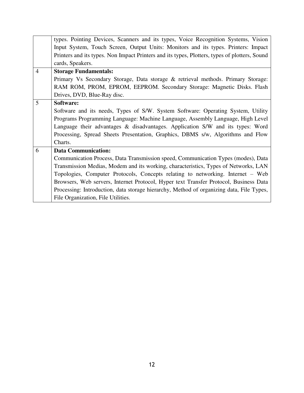|                | types. Pointing Devices, Scanners and its types, Voice Recognition Systems, Vision            |
|----------------|-----------------------------------------------------------------------------------------------|
|                | Input System, Touch Screen, Output Units: Monitors and its types. Printers: Impact            |
|                | Printers and its types. Non Impact Printers and its types, Plotters, types of plotters, Sound |
|                | cards, Speakers.                                                                              |
| $\overline{4}$ | <b>Storage Fundamentals:</b>                                                                  |
|                | Primary Vs Secondary Storage, Data storage & retrieval methods. Primary Storage:              |
|                | RAM ROM, PROM, EPROM, EEPROM. Secondary Storage: Magnetic Disks. Flash                        |
|                | Drives, DVD, Blue-Ray disc.                                                                   |
| 5              | Software:                                                                                     |
|                | Software and its needs, Types of S/W. System Software: Operating System, Utility              |
|                | Programs Programming Language: Machine Language, Assembly Language, High Level                |
|                | Language their advantages & disadvantages. Application S/W and its types: Word                |
|                | Processing, Spread Sheets Presentation, Graphics, DBMS s/w, Algorithms and Flow               |
|                | Charts.                                                                                       |
| 6              | <b>Data Communication:</b>                                                                    |
|                | Communication Process, Data Transmission speed, Communication Types (modes), Data             |
|                | Transmission Medias, Modem and its working, characteristics, Types of Networks, LAN           |
|                | Topologies, Computer Protocols, Concepts relating to networking. Internet - Web               |
|                | Browsers, Web servers, Internet Protocol, Hyper text Transfer Protocol, Business Data         |
|                | Processing: Introduction, data storage hierarchy, Method of organizing data, File Types,      |
|                | File Organization, File Utilities.                                                            |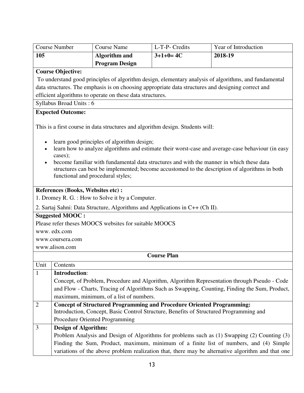| <b>Course Number</b>                                                                                                                                                                                                                                                                                                                                                                                                                |                             | <b>Course Name</b>                                        | L-T-P- Credits                                                                                     | Year of Introduction                                                                                                                                                                           |
|-------------------------------------------------------------------------------------------------------------------------------------------------------------------------------------------------------------------------------------------------------------------------------------------------------------------------------------------------------------------------------------------------------------------------------------|-----------------------------|-----------------------------------------------------------|----------------------------------------------------------------------------------------------------|------------------------------------------------------------------------------------------------------------------------------------------------------------------------------------------------|
| 105                                                                                                                                                                                                                                                                                                                                                                                                                                 |                             | <b>Algorithm and</b>                                      | $3+1+0=4C$                                                                                         | 2018-19                                                                                                                                                                                        |
|                                                                                                                                                                                                                                                                                                                                                                                                                                     |                             | <b>Program Design</b>                                     |                                                                                                    |                                                                                                                                                                                                |
| <b>Course Objective:</b>                                                                                                                                                                                                                                                                                                                                                                                                            |                             |                                                           |                                                                                                    |                                                                                                                                                                                                |
|                                                                                                                                                                                                                                                                                                                                                                                                                                     |                             |                                                           |                                                                                                    | To understand good principles of algorithm design, elementary analysis of algorithms, and fundamental                                                                                          |
|                                                                                                                                                                                                                                                                                                                                                                                                                                     |                             |                                                           | data structures. The emphasis is on choosing appropriate data structures and designing correct and |                                                                                                                                                                                                |
|                                                                                                                                                                                                                                                                                                                                                                                                                                     |                             | efficient algorithms to operate on these data structures. |                                                                                                    |                                                                                                                                                                                                |
| Syllabus Broad Units: 6                                                                                                                                                                                                                                                                                                                                                                                                             |                             |                                                           |                                                                                                    |                                                                                                                                                                                                |
| <b>Expected Outcome:</b>                                                                                                                                                                                                                                                                                                                                                                                                            |                             |                                                           |                                                                                                    |                                                                                                                                                                                                |
|                                                                                                                                                                                                                                                                                                                                                                                                                                     |                             |                                                           | This is a first course in data structures and algorithm design. Students will:                     |                                                                                                                                                                                                |
| learn good principles of algorithm design;<br>learn how to analyze algorithms and estimate their worst-case and average-case behaviour (in easy<br>cases);<br>become familiar with fundamental data structures and with the manner in which these data<br>structures can best be implemented; become accustomed to the description of algorithms in both<br>functional and procedural styles;<br>References (Books, Websites etc) : |                             |                                                           |                                                                                                    |                                                                                                                                                                                                |
|                                                                                                                                                                                                                                                                                                                                                                                                                                     |                             | 1. Dromey R. G. : How to Solve it by a Computer.          |                                                                                                    |                                                                                                                                                                                                |
|                                                                                                                                                                                                                                                                                                                                                                                                                                     |                             |                                                           | 2. Sartaj Sahni: Data Structure, Algorithms and Applications in C++ (Ch II).                       |                                                                                                                                                                                                |
| <b>Suggested MOOC:</b>                                                                                                                                                                                                                                                                                                                                                                                                              |                             |                                                           |                                                                                                    |                                                                                                                                                                                                |
|                                                                                                                                                                                                                                                                                                                                                                                                                                     |                             | Please refer theses MOOCS websites for suitable MOOCS     |                                                                                                    |                                                                                                                                                                                                |
| www.edx.com                                                                                                                                                                                                                                                                                                                                                                                                                         |                             |                                                           |                                                                                                    |                                                                                                                                                                                                |
| www.coursera.com                                                                                                                                                                                                                                                                                                                                                                                                                    |                             |                                                           |                                                                                                    |                                                                                                                                                                                                |
| www.alison.com                                                                                                                                                                                                                                                                                                                                                                                                                      |                             |                                                           |                                                                                                    |                                                                                                                                                                                                |
|                                                                                                                                                                                                                                                                                                                                                                                                                                     |                             |                                                           | <b>Course Plan</b>                                                                                 |                                                                                                                                                                                                |
| Unit   Contents                                                                                                                                                                                                                                                                                                                                                                                                                     |                             |                                                           |                                                                                                    |                                                                                                                                                                                                |
| 1                                                                                                                                                                                                                                                                                                                                                                                                                                   | <b>Introduction:</b>        |                                                           |                                                                                                    |                                                                                                                                                                                                |
|                                                                                                                                                                                                                                                                                                                                                                                                                                     |                             |                                                           |                                                                                                    | Concept, of Problem, Procedure and Algorithm, Algorithm Representation through Pseudo - Code<br>and Flow - Charts, Tracing of Algorithms Such as Swapping, Counting, Finding the Sum, Product, |
|                                                                                                                                                                                                                                                                                                                                                                                                                                     |                             | maximum, minimum, of a list of numbers.                   |                                                                                                    |                                                                                                                                                                                                |
| $\overline{2}$                                                                                                                                                                                                                                                                                                                                                                                                                      |                             |                                                           | <b>Concept of Structured Programming and Procedure Oriented Programming:</b>                       |                                                                                                                                                                                                |
|                                                                                                                                                                                                                                                                                                                                                                                                                                     |                             |                                                           | Introduction, Concept, Basic Control Structure, Benefits of Structured Programming and             |                                                                                                                                                                                                |
|                                                                                                                                                                                                                                                                                                                                                                                                                                     |                             | Procedure Oriented Programming                            |                                                                                                    |                                                                                                                                                                                                |
| 3                                                                                                                                                                                                                                                                                                                                                                                                                                   | <b>Design of Algorithm:</b> |                                                           |                                                                                                    |                                                                                                                                                                                                |
|                                                                                                                                                                                                                                                                                                                                                                                                                                     |                             |                                                           |                                                                                                    | Problem Analysis and Design of Algorithms for problems such as (1) Swapping (2) Counting (3)                                                                                                   |
|                                                                                                                                                                                                                                                                                                                                                                                                                                     |                             |                                                           |                                                                                                    | Finding the Sum, Product, maximum, minimum of a finite list of numbers, and (4) Simple                                                                                                         |
|                                                                                                                                                                                                                                                                                                                                                                                                                                     |                             |                                                           |                                                                                                    | variations of the above problem realization that, there may be alternative algorithm and that one                                                                                              |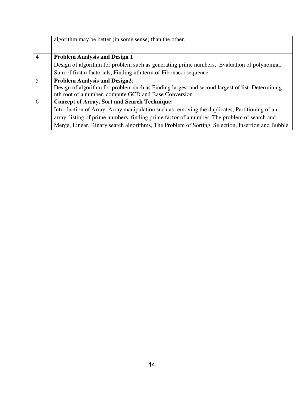|                | algorithm may be better (in some sense) than the other.                                          |
|----------------|--------------------------------------------------------------------------------------------------|
|                |                                                                                                  |
| $\overline{4}$ | <b>Problem Analysis and Design 1:</b>                                                            |
|                | Design of algorithm for problem such as generating prime numbers, Evaluation of polynomial,      |
|                | Sum of first n factorials, Finding nth term of Fibonacci sequence.                               |
| 5              | <b>Problem Analysis and Design2:</b>                                                             |
|                | Design of algorithm for problem such as Finding largest and second largest of list, Determining  |
|                | nth root of a number, compute GCD and Base Conversion                                            |
| 6              | <b>Concept of Array, Sort and Search Technique:</b>                                              |
|                | Introduction of Array, Array manipulation such as removing the duplicates, Partitioning of an    |
|                | array, listing of prime numbers, finding prime factor of a number, The problem of search and     |
|                | Merge, Linear, Binary search algorithms, The Problem of Sorting, Selection, Insertion and Bubble |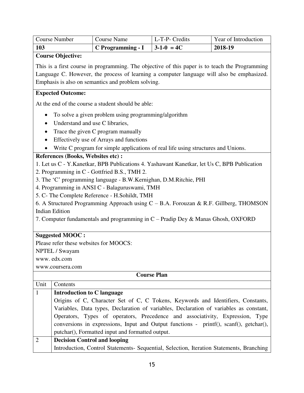| <b>Course Number</b> | <b>Course Name</b> | L-T-P- Credits   | Year of Introduction |
|----------------------|--------------------|------------------|----------------------|
| 103                  | C Programming - I  | $3 - 1 - 0 = 4C$ | 2018-19              |

**Course Objective:** 

This is a first course in programming. The objective of this paper is to teach the Programming Language C. However, the process of learning a computer language will also be emphasized. Emphasis is also on semantics and problem solving.

### **Expected Outcome:**

At the end of the course a student should be able:

- To solve a given problem using programming/algorithm
- Understand and use C libraries,
- Trace the given C program manually
- Effectively use of Arrays and functions
- Write C program for simple applications of real life using structures and Unions.

# **References (Books, Websites etc) :**

1. Let us C - Y.Kanetkar, BPB Publications 4. Yashawant Kanetkar, let Us C, BPB Publication

- 2. Programming in C Gottfried B.S., TMH 2.
- 3. The 'C' programming language B.W.Kernighan, D.M.Ritchie, PHI
- 4. Programming in ANSI C Balaguruswami, TMH
- 5. C- The Complete Reference H.Sohildt, TMH

6. A Structured Programming Approach using  $C - B.A$ . Forouzan & R.F. Gillberg, THOMSON Indian Edition

7. Computer fundamentals and programming in C – Pradip Dey & Manas Ghosh, OXFORD

#### **Suggested MOOC :**

Please refer these websites for MOOCS:

NPTEL / Swayam

www. edx.com

www.coursera.com

| Unit         | Contents                                                                                 |
|--------------|------------------------------------------------------------------------------------------|
| $\mathbf{1}$ | Introduction to C language                                                               |
|              | Origins of C, Character Set of C, C Tokens, Keywords and Identifiers, Constants,         |
|              | Variables, Data types, Declaration of variables, Declaration of variables as constant,   |
|              | Operators, Types of operators, Precedence and associativity, Expression, Type            |
|              | conversions in expressions, Input and Output functions - printf(), scanf(), getchar(),   |
|              | putchar(), Formatted input and formatted output.                                         |
| 2            | <b>Decision Control and looping</b>                                                      |
|              | Introduction, Control Statements- Sequential, Selection, Iteration Statements, Branching |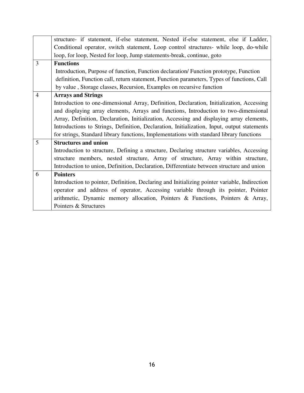| structure- if statement, if-else statement, Nested if-else statement, else if Ladder,         |
|-----------------------------------------------------------------------------------------------|
| Conditional operator, switch statement, Loop control structures- while loop, do-while         |
| loop, for loop, Nested for loop, Jump statements-break, continue, goto                        |
| <b>Functions</b>                                                                              |
| Introduction, Purpose of function, Function declaration/ Function prototype, Function         |
| definition, Function call, return statement, Function parameters, Types of functions, Call    |
| by value, Storage classes, Recursion, Examples on recursive function                          |
| <b>Arrays and Strings</b>                                                                     |
| Introduction to one-dimensional Array, Definition, Declaration, Initialization, Accessing     |
| and displaying array elements, Arrays and functions, Introduction to two-dimensional          |
| Array, Definition, Declaration, Initialization, Accessing and displaying array elements,      |
| Introductions to Strings, Definition, Declaration, Initialization, Input, output statements   |
| for strings, Standard library functions, Implementations with standard library functions      |
| <b>Structures and union</b>                                                                   |
| Introduction to structure, Defining a structure, Declaring structure variables, Accessing     |
| structure members, nested structure, Array of structure, Array within structure,              |
| Introduction to union, Definition, Declaration, Differentiate between structure and union     |
| <b>Pointers</b>                                                                               |
| Introduction to pointer, Definition, Declaring and Initializing pointer variable, Indirection |
| operator and address of operator, Accessing variable through its pointer, Pointer             |
| arithmetic, Dynamic memory allocation, Pointers & Functions, Pointers & Array,                |
| Pointers & Structures                                                                         |
|                                                                                               |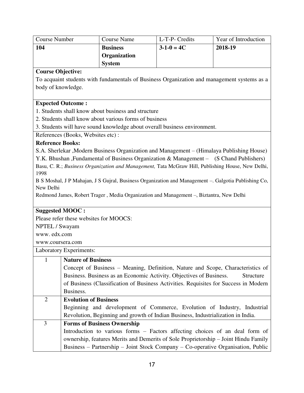| <b>Course Number</b>     |                                        | <b>Course Name</b>                                                                                   | L-T-P- Credits | Year of Introduction |
|--------------------------|----------------------------------------|------------------------------------------------------------------------------------------------------|----------------|----------------------|
| 104                      |                                        | <b>Business</b>                                                                                      | $3-1-0=4C$     | 2018-19              |
|                          |                                        | Organization                                                                                         |                |                      |
|                          |                                        | <b>System</b>                                                                                        |                |                      |
| <b>Course Objective:</b> |                                        |                                                                                                      |                |                      |
|                          |                                        | To acquaint students with fundamentals of Business Organization and management systems as a          |                |                      |
| body of knowledge.       |                                        |                                                                                                      |                |                      |
|                          |                                        |                                                                                                      |                |                      |
|                          | <b>Expected Outcome:</b>               |                                                                                                      |                |                      |
|                          |                                        | 1. Students shall know about business and structure                                                  |                |                      |
|                          |                                        | 2. Students shall know about various forms of business                                               |                |                      |
|                          |                                        | 3. Students will have sound knowledge about overall business environment.                            |                |                      |
|                          | References (Books, Websites etc):      |                                                                                                      |                |                      |
| <b>Reference Books:</b>  |                                        |                                                                                                      |                |                      |
|                          |                                        | S.A. Sherlekar , Modern Business Organization and Management – (Himalaya Publishing House)           |                |                      |
|                          |                                        | Y.K. Bhushan , Fundamental of Business Organization & Management – (S Chand Publishers)              |                |                      |
|                          |                                        | Basu, C. R.; Business Organization and Management, Tata McGraw Hill, Publishing House, New Delhi,    |                |                      |
| 1998                     |                                        |                                                                                                      |                |                      |
| New Delhi                |                                        | B S Moshal, J P Mahajan, J S Gujral, Business Organization and Management -. Galgotia Publishing Co, |                |                      |
|                          |                                        | Redmond James, Robert Trager, Media Organization and Management -, Biztantra, New Delhi              |                |                      |
|                          |                                        |                                                                                                      |                |                      |
|                          | <b>Suggested MOOC:</b>                 |                                                                                                      |                |                      |
|                          | Please refer these websites for MOOCS: |                                                                                                      |                |                      |
| NPTEL / Swayam           |                                        |                                                                                                      |                |                      |
| www.edx.com              |                                        |                                                                                                      |                |                      |
| www.coursera.com         |                                        |                                                                                                      |                |                      |
|                          | Laboratory Experiments:                |                                                                                                      |                |                      |
| $\mathbf{1}$             | <b>Nature of Business</b>              |                                                                                                      |                |                      |
|                          |                                        | Concept of Business – Meaning, Definition, Nature and Scope, Characteristics of                      |                |                      |
|                          |                                        | Business. Business as an Economic Activity. Objectives of Business.                                  |                | Structure            |
|                          |                                        | of Business (Classification of Business Activities. Requisites for Success in Modern                 |                |                      |
|                          | Business.                              |                                                                                                      |                |                      |
| $\overline{2}$           | <b>Evolution of Business</b>           |                                                                                                      |                |                      |
|                          |                                        | Beginning and development of Commerce, Evolution of Industry, Industrial                             |                |                      |
|                          |                                        | Revolution, Beginning and growth of Indian Business, Industrialization in India.                     |                |                      |
| 3                        |                                        | <b>Forms of Business Ownership</b>                                                                   |                |                      |
|                          |                                        | Introduction to various forms – Factors affecting choices of an deal form of                         |                |                      |
|                          |                                        | ownership, features Merits and Demerits of Sole Proprietorship - Joint Hindu Family                  |                |                      |
|                          |                                        | Business – Partnership – Joint Stock Company – Co-operative Organisation, Public                     |                |                      |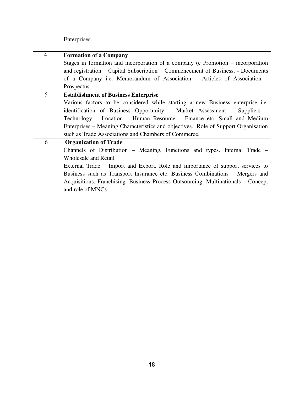|                | Enterprises.                                                                       |
|----------------|------------------------------------------------------------------------------------|
| $\overline{4}$ | <b>Formation of a Company</b>                                                      |
|                | Stages in formation and incorporation of a company ( $e$ Promotion – incorporation |
|                | and registration – Capital Subscription – Commencement of Business. - Documents    |
|                | of a Company i.e. Memorandum of Association – Articles of Association –            |
|                | Prospectus.                                                                        |
| 5              | <b>Establishment of Business Enterprise</b>                                        |
|                | Various factors to be considered while starting a new Business enterprise i.e.     |
|                | identification of Business Opportunity - Market Assessment - Suppliers -           |
|                | Technology - Location - Human Resource - Finance etc. Small and Medium             |
|                | Enterprises – Meaning Characteristics and objectives. Role of Support Organisation |
|                | such as Trade Associations and Chambers of Commerce.                               |
| 6              | <b>Organization of Trade</b>                                                       |
|                | Channels of Distribution – Meaning, Functions and types. Internal Trade –          |
|                | <b>Wholesale and Retail</b>                                                        |
|                | External Trade – Import and Export. Role and importance of support services to     |
|                | Business such as Transport Insurance etc. Business Combinations – Mergers and      |
|                | Acquisitions. Franchising. Business Process Outsourcing. Multinationals – Concept  |
|                | and role of MNCs                                                                   |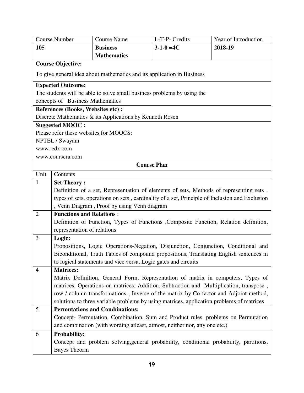|                | <b>Course Number</b>                                                                          | <b>Course Name</b>                                                      | L-T-P- Credits                                                                           | Year of Introduction |
|----------------|-----------------------------------------------------------------------------------------------|-------------------------------------------------------------------------|------------------------------------------------------------------------------------------|----------------------|
| 105            |                                                                                               | <b>Business</b>                                                         | $3 - 1 - 0 = 4C$                                                                         | 2018-19              |
|                |                                                                                               | <b>Mathematics</b>                                                      |                                                                                          |                      |
|                | <b>Course Objective:</b>                                                                      |                                                                         |                                                                                          |                      |
|                |                                                                                               | To give general idea about mathematics and its application in Business  |                                                                                          |                      |
|                | <b>Expected Outcome:</b>                                                                      |                                                                         |                                                                                          |                      |
|                |                                                                                               | The students will be able to solve small business problems by using the |                                                                                          |                      |
|                | concepts of Business Mathematics                                                              |                                                                         |                                                                                          |                      |
|                | References (Books, Websites etc) :                                                            |                                                                         |                                                                                          |                      |
|                |                                                                                               | Discrete Mathematics & its Applications by Kenneth Rosen                |                                                                                          |                      |
|                | <b>Suggested MOOC:</b>                                                                        |                                                                         |                                                                                          |                      |
|                | Please refer these websites for MOOCS:                                                        |                                                                         |                                                                                          |                      |
|                | NPTEL / Swayam                                                                                |                                                                         |                                                                                          |                      |
|                | www.edx.com                                                                                   |                                                                         |                                                                                          |                      |
|                | www.coursera.com                                                                              |                                                                         |                                                                                          |                      |
|                |                                                                                               |                                                                         | <b>Course Plan</b>                                                                       |                      |
| Unit           | Contents                                                                                      |                                                                         |                                                                                          |                      |
| 1              | <b>Set Theory:</b>                                                                            |                                                                         |                                                                                          |                      |
|                | Definition of a set, Representation of elements of sets, Methods of representing sets,        |                                                                         |                                                                                          |                      |
|                | types of sets, operations on sets, cardinality of a set, Principle of Inclusion and Exclusion |                                                                         |                                                                                          |                      |
|                | , Venn Diagram, Proof by using Venn diagram                                                   |                                                                         |                                                                                          |                      |
| $\overline{2}$ | <b>Functions and Relations:</b>                                                               |                                                                         |                                                                                          |                      |
|                |                                                                                               |                                                                         | Definition of Function, Types of Functions , Composite Function, Relation definition,    |                      |
|                | representation of relations                                                                   |                                                                         |                                                                                          |                      |
| 3              | Logic:                                                                                        |                                                                         |                                                                                          |                      |
|                |                                                                                               |                                                                         | Propositions, Logic Operations-Negation, Disjunction, Conjunction, Conditional and       |                      |
|                |                                                                                               |                                                                         | Biconditional, Truth Tables of compound propositions, Translating English sentences in   |                      |
|                |                                                                                               | to logical statements and vice versa, Logic gates and circuits          |                                                                                          |                      |
| 4              | <b>Matrices:</b>                                                                              |                                                                         |                                                                                          |                      |
|                |                                                                                               |                                                                         | Matrix Definition, General Form, Representation of matrix in computers, Types of         |                      |
|                |                                                                                               |                                                                         | matrices, Operations on matrices: Addition, Subtraction and Multiplication, transpose,   |                      |
|                |                                                                                               |                                                                         | row / column transformations, Inverse of the matrix by Co-factor and Adjoint method,     |                      |
|                |                                                                                               |                                                                         | solutions to three variable problems by using matrices, application problems of matrices |                      |
| 5              |                                                                                               | <b>Permutations and Combinations:</b>                                   |                                                                                          |                      |
|                |                                                                                               |                                                                         | Concept- Permutation, Combination, Sum and Product rules, problems on Permutation        |                      |
|                |                                                                                               |                                                                         | and combination (with wording atleast, atmost, neither nor, any one etc.)                |                      |
| 6              | <b>Probability:</b>                                                                           |                                                                         |                                                                                          |                      |
|                |                                                                                               |                                                                         | Concept and problem solving, general probability, conditional probability, partitions,   |                      |
|                | <b>Bayes Theorm</b>                                                                           |                                                                         |                                                                                          |                      |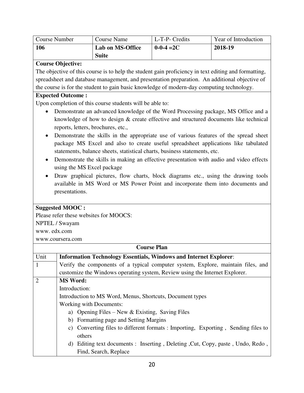| <b>Course Number</b> | Course Name      | L-T-P- Credits   | Year of Introduction |
|----------------------|------------------|------------------|----------------------|
| 106                  | Lab on MS-Office | $0 - 0 - 4 = 2C$ | 2018-19              |
|                      | <b>Suite</b>     |                  |                      |

# **Course Objective:**

The objective of this course is to help the student gain proficiency in text editing and formatting, spreadsheet and database management, and presentation preparation. An additional objective of the course is for the student to gain basic knowledge of modern-day computing technology.

### **Expected Outcome :**

Upon completion of this course students will be able to:

- Demonstrate an advanced knowledge of the Word Processing package, MS Office and a knowledge of how to design & create effective and structured documents like technical reports, letters, brochures, etc.,
- Demonstrate the skills in the appropriate use of various features of the spread sheet package MS Excel and also to create useful spreadsheet applications like tabulated statements, balance sheets, statistical charts, business statements, etc.
- Demonstrate the skills in making an effective presentation with audio and video effects using the MS Excel package
- Draw graphical pictures, flow charts, block diagrams etc., using the drawing tools available in MS Word or MS Power Point and incorporate them into documents and presentations.

# **Suggested MOOC :**

Please refer these websites for MOOCS:

NPTEL / Swayam

www. edx.com

www.coursera.com

|                | <b>Course Plan</b>                                                                |  |  |  |
|----------------|-----------------------------------------------------------------------------------|--|--|--|
| Unit           | <b>Information Technology Essentials, Windows and Internet Explorer:</b>          |  |  |  |
| $\overline{1}$ | Verify the components of a typical computer system, Explore, maintain files, and  |  |  |  |
|                | customize the Windows operating system, Review using the Internet Explorer.       |  |  |  |
| $\overline{2}$ | <b>MS Word:</b>                                                                   |  |  |  |
|                | Introduction:                                                                     |  |  |  |
|                | Introduction to MS Word, Menus, Shortcuts, Document types                         |  |  |  |
|                | Working with Documents:                                                           |  |  |  |
|                | a) Opening Files – New $&$ Existing, Saving Files                                 |  |  |  |
|                | b) Formatting page and Setting Margins                                            |  |  |  |
|                | c) Converting files to different formats : Importing, Exporting, Sending files to |  |  |  |
|                | others                                                                            |  |  |  |
|                | d) Editing text documents : Inserting, Deleting, Cut, Copy, paste, Undo, Redo,    |  |  |  |
|                | Find, Search, Replace                                                             |  |  |  |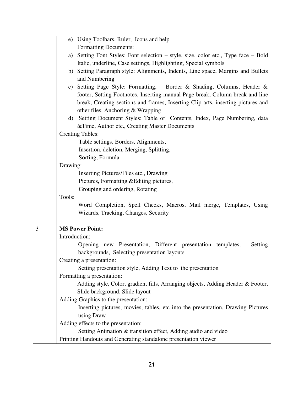|   |               | e) Using Toolbars, Ruler, Icons and help                                           |
|---|---------------|------------------------------------------------------------------------------------|
|   |               | <b>Formatting Documents:</b>                                                       |
|   |               | a) Setting Font Styles: Font selection – style, size, color etc., Type face – Bold |
|   |               | Italic, underline, Case settings, Highlighting, Special symbols                    |
|   |               | b) Setting Paragraph style: Alignments, Indents, Line space, Margins and Bullets   |
|   |               | and Numbering                                                                      |
|   |               | c) Setting Page Style: Formatting, Border & Shading, Columns, Header &             |
|   |               | footer, Setting Footnotes, Inserting manual Page break, Column break and line      |
|   |               | break, Creating sections and frames, Inserting Clip arts, inserting pictures and   |
|   |               | other files, Anchoring & Wrapping                                                  |
|   |               | d) Setting Document Styles: Table of Contents, Index, Page Numbering, data         |
|   |               | & Time, Author etc., Creating Master Documents                                     |
|   |               | <b>Creating Tables:</b>                                                            |
|   |               | Table settings, Borders, Alignments,                                               |
|   |               | Insertion, deletion, Merging, Splitting,                                           |
|   |               | Sorting, Formula                                                                   |
|   | Drawing:      |                                                                                    |
|   |               | Inserting Pictures/Files etc., Drawing                                             |
|   |               | Pictures, Formatting & Editing pictures,                                           |
|   |               | Grouping and ordering, Rotating                                                    |
|   | Tools:        |                                                                                    |
|   |               | Word Completion, Spell Checks, Macros, Mail merge, Templates, Using                |
|   |               | Wizards, Tracking, Changes, Security                                               |
|   |               |                                                                                    |
| 3 |               | <b>MS Power Point:</b>                                                             |
|   | Introduction: |                                                                                    |
|   |               | Opening new Presentation, Different presentation templates,<br>Setting             |
|   |               | backgrounds, Selecting presentation layouts                                        |
|   |               | Creating a presentation:                                                           |
|   |               | Setting presentation style, Adding Text to the presentation                        |
|   |               | Formatting a presentation:                                                         |
|   |               | Adding style, Color, gradient fills, Arranging objects, Adding Header & Footer,    |
|   |               | Slide background, Slide layout                                                     |
|   |               | Adding Graphics to the presentation:                                               |
|   |               | Inserting pictures, movies, tables, etc into the presentation, Drawing Pictures    |
|   |               | using Draw                                                                         |
|   |               | Adding effects to the presentation:                                                |
|   |               | Setting Animation & transition effect, Adding audio and video                      |
|   |               | Printing Handouts and Generating standalone presentation viewer                    |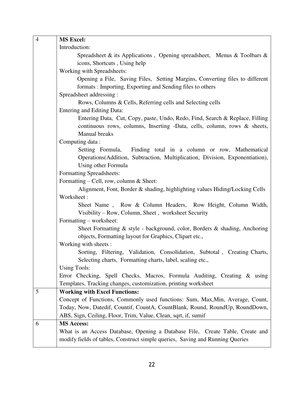| $\overline{4}$ | <b>MS Excel:</b>                                                                                                      |
|----------------|-----------------------------------------------------------------------------------------------------------------------|
|                | Introduction:                                                                                                         |
|                | Spreadsheet & its Applications, Opening spreadsheet, Menus & Toolbars &                                               |
|                | icons, Shortcuts, Using help                                                                                          |
|                | Working with Spreadsheets:                                                                                            |
|                | Opening a File, Saving Files, Setting Margins, Converting files to different                                          |
|                | formats: Importing, Exporting and Sending files to others                                                             |
|                | Spreadsheet addressing:                                                                                               |
|                | Rows, Columns & Cells, Referring cells and Selecting cells                                                            |
|                | Entering and Editing Data:                                                                                            |
|                | Entering Data, Cut, Copy, paste, Undo, Redo, Find, Search & Replace, Filling                                          |
|                | continuous rows, columns, Inserting -Data, cells, column, rows & sheets,                                              |
|                | Manual breaks                                                                                                         |
|                | Computing data:                                                                                                       |
|                | Finding total in a column or row, Mathematical<br>Setting Formula,                                                    |
|                | Operations (Addition, Subtraction, Multiplication, Division, Exponentiation),                                         |
|                | Using other Formula                                                                                                   |
|                | Formatting Spreadsheets:                                                                                              |
|                | Formatting – Cell, row, column $&$ Sheet:                                                                             |
|                | Alignment, Font, Border & shading, highlighting values Hiding/Locking Cells                                           |
|                | Worksheet:                                                                                                            |
|                | Sheet Name, Row & Column Headers, Row Height, Column Width,                                                           |
|                | Visibility – Row, Column, Sheet, worksheet Security                                                                   |
|                | Formatting – worksheet:                                                                                               |
|                | Sheet Formatting & style - background, color, Borders & shading, Anchoring                                            |
|                | objects, Formatting layout for Graphics, Clipart etc.,                                                                |
|                | Working with sheets :                                                                                                 |
|                | Sorting, Filtering, Validation, Consolidation, Subtotal, Creating Charts,                                             |
|                | Selecting charts, Formatting charts, label, scaling etc.,                                                             |
|                | <b>Using Tools:</b>                                                                                                   |
|                | Error Checking, Spell Checks, Macros, Formula Auditing, Creating & using                                              |
| 5              | Templates, Tracking changes, customization, printing worksheet                                                        |
|                | <b>Working with Excel Functions:</b><br>Concept of Functions, Commonly used functions: Sum, Max, Min, Average, Count, |
|                | Today, Now, Datedif, Countif, CountA, CountBlank, Round, RoundUp, RoundDown,                                          |
|                | ABS, Sign, Ceiling, Floor, Trim, Value, Clean, sqrt, if, sumif                                                        |
| 6              | <b>MS Access:</b>                                                                                                     |
|                | What is an Access Database, Opening a Database File, Create Table, Create and                                         |
|                | modify fields of tables, Construct simple queries, Saving and Running Queries                                         |
|                |                                                                                                                       |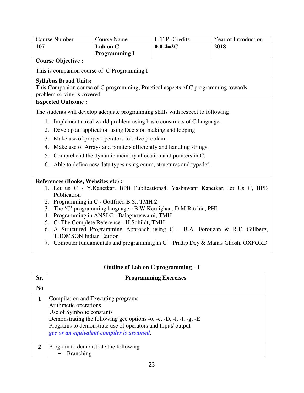| <b>Course Number</b><br><b>Course Name</b>                                                                           | L-T-P- Credits   | Year of Introduction                                                             |
|----------------------------------------------------------------------------------------------------------------------|------------------|----------------------------------------------------------------------------------|
| 107<br>Lab on C                                                                                                      | $0 - 0 - 4 = 2C$ | 2018                                                                             |
| <b>Programming I</b>                                                                                                 |                  |                                                                                  |
| <b>Course Objective:</b>                                                                                             |                  |                                                                                  |
| This is companion course of C Programming I                                                                          |                  |                                                                                  |
| <b>Syllabus Broad Units:</b>                                                                                         |                  |                                                                                  |
| This Companion course of C programming; Practical aspects of C programming towards                                   |                  |                                                                                  |
| problem solving is covered.                                                                                          |                  |                                                                                  |
| <b>Expected Outcome:</b>                                                                                             |                  |                                                                                  |
| The students will develop adequate programming skills with respect to following                                      |                  |                                                                                  |
| Implement a real world problem using basic constructs of C language.<br>1.                                           |                  |                                                                                  |
| Develop an application using Decision making and looping<br>2.                                                       |                  |                                                                                  |
| Make use of proper operators to solve problem.<br>3.                                                                 |                  |                                                                                  |
| Make use of Arrays and pointers efficiently and handling strings.<br>4.                                              |                  |                                                                                  |
| Comprehend the dynamic memory allocation and pointers in C.<br>5.                                                    |                  |                                                                                  |
|                                                                                                                      |                  |                                                                                  |
| Able to define new data types using enum, structures and typedef.<br>6.                                              |                  |                                                                                  |
|                                                                                                                      |                  |                                                                                  |
| References (Books, Websites etc):                                                                                    |                  |                                                                                  |
| 1. Let us C - Y.Kanetkar, BPB Publications4. Yashawant Kanetkar, let Us C, BPB                                       |                  |                                                                                  |
| Publication                                                                                                          |                  |                                                                                  |
| 2. Programming in C - Gottfried B.S., TMH 2.                                                                         |                  |                                                                                  |
| The 'C' programming language - B.W.Kernighan, D.M.Ritchie, PHI<br>3.                                                 |                  |                                                                                  |
| Programming in ANSI C - Balaguruswami, TMH<br>4.                                                                     |                  |                                                                                  |
| 5. C- The Complete Reference - H.Sohildt, TMH                                                                        |                  |                                                                                  |
| A Structured Programming Approach using $C - B.A$ . Forouzan & R.F. Gillberg,<br>6.<br><b>THOMSON Indian Edition</b> |                  |                                                                                  |
|                                                                                                                      |                  | 7. Computer fundamentals and programming in C – Pradip Dey & Manas Ghosh, OXFORD |

|  | Outline of Lab on $C$ programming $-I$ |
|--|----------------------------------------|
|  |                                        |

| Sr.            | <b>Programming Exercises</b>                                                                                                                                                                                                                                              |
|----------------|---------------------------------------------------------------------------------------------------------------------------------------------------------------------------------------------------------------------------------------------------------------------------|
| N <sub>0</sub> |                                                                                                                                                                                                                                                                           |
|                | Compilation and Executing programs<br>Arithmetic operations<br>Use of Symbolic constants<br>Demonstrating the following gcc options -o, -c, -D, -l, -I, -g, -E<br>Programs to demonstrate use of operators and Input/ output<br>gcc or an equivalent compiler is assumed. |
| 2              | Program to demonstrate the following<br><b>Branching</b>                                                                                                                                                                                                                  |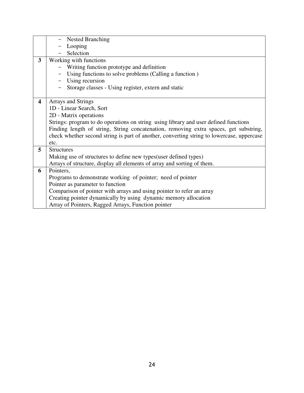|                         | <b>Nested Branching</b>                                                                   |
|-------------------------|-------------------------------------------------------------------------------------------|
|                         | Looping                                                                                   |
|                         | Selection                                                                                 |
| $\overline{\mathbf{3}}$ | Working with functions                                                                    |
|                         | Writing function prototype and definition                                                 |
|                         | Using functions to solve problems (Calling a function)                                    |
|                         | Using recursion                                                                           |
|                         | Storage classes - Using register, extern and static                                       |
|                         |                                                                                           |
| 4                       | <b>Arrays and Strings</b>                                                                 |
|                         | 1D - Linear Search, Sort                                                                  |
|                         | 2D - Matrix operations                                                                    |
|                         | Strings: program to do operations on string using library and user defined functions      |
|                         | Finding length of string, String concatenation, removing extra spaces, get substring,     |
|                         | check whether second string is part of another, converting string to lowercase, uppercase |
|                         | etc.                                                                                      |
| 5                       | <b>Structures</b>                                                                         |
|                         | Making use of structures to define new types (user defined types)                         |
|                         | Arrays of structure, display all elements of array and sorting of them.                   |
| 6                       | Pointers.                                                                                 |
|                         | Programs to demonstrate working of pointer; need of pointer                               |
|                         | Pointer as parameter to function                                                          |
|                         | Comparison of pointer with arrays and using pointer to refer an array                     |
|                         | Creating pointer dynamically by using dynamic memory allocation                           |
|                         | Array of Pointers, Ragged Arrays, Function pointer                                        |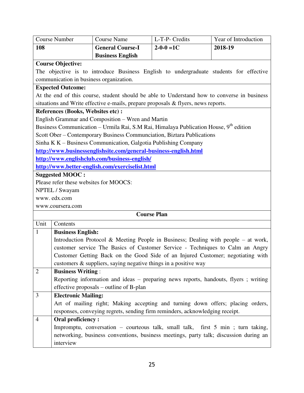| <b>Course Number</b>          |                                    | <b>Course Name</b>                                               | L-T-P- Credits                                                                                    | Year of Introduction                                                                        |
|-------------------------------|------------------------------------|------------------------------------------------------------------|---------------------------------------------------------------------------------------------------|---------------------------------------------------------------------------------------------|
| 108                           |                                    | <b>General Course-I</b>                                          | $2 - 0 - 0 = 1C$                                                                                  | 2018-19                                                                                     |
|                               |                                    | <b>Business English</b>                                          |                                                                                                   |                                                                                             |
| <b>Course Objective:</b>      |                                    |                                                                  |                                                                                                   |                                                                                             |
|                               |                                    |                                                                  |                                                                                                   | The objective is to introduce Business English to undergraduate students for effective      |
|                               |                                    | communication in business organization.                          |                                                                                                   |                                                                                             |
| <b>Expected Outcome:</b>      |                                    |                                                                  |                                                                                                   |                                                                                             |
|                               |                                    |                                                                  |                                                                                                   | At the end of this course, student should be able to Understand how to converse in business |
|                               |                                    |                                                                  | situations and Write effective e-mails, prepare proposals & flyers, news reports.                 |                                                                                             |
|                               | References (Books, Websites etc) : |                                                                  |                                                                                                   |                                                                                             |
|                               |                                    | English Grammar and Composition – Wren and Martin                |                                                                                                   |                                                                                             |
|                               |                                    |                                                                  | Business Communication – Urmila Rai, S.M Rai, Himalaya Publication House, 9 <sup>th</sup> edition |                                                                                             |
|                               |                                    |                                                                  | Scott Ober – Contemporary Business Communciation, Biztara Publications                            |                                                                                             |
|                               |                                    | Sinha K K – Business Communication, Galgotia Publishing Company  |                                                                                                   |                                                                                             |
|                               |                                    | http://www.businessenglishsite.com/general-business-english.html |                                                                                                   |                                                                                             |
|                               |                                    | http://www.englishclub.com/business-english/                     |                                                                                                   |                                                                                             |
|                               |                                    | http://www.better-english.com/exerciselist.html                  |                                                                                                   |                                                                                             |
| <b>Suggested MOOC:</b>        |                                    |                                                                  |                                                                                                   |                                                                                             |
|                               |                                    | Please refer these websites for MOOCS:                           |                                                                                                   |                                                                                             |
| NPTEL / Swayam<br>www.edx.com |                                    |                                                                  |                                                                                                   |                                                                                             |
|                               |                                    |                                                                  |                                                                                                   |                                                                                             |
| www.coursera.com              |                                    |                                                                  | <b>Course Plan</b>                                                                                |                                                                                             |
| Unit                          |                                    |                                                                  |                                                                                                   |                                                                                             |
| $\mathbf{1}$                  | Contents                           |                                                                  |                                                                                                   |                                                                                             |
|                               | <b>Business English:</b>           |                                                                  |                                                                                                   | Introduction Protocol & Meeting People in Business; Dealing with people $-$ at work,        |
|                               |                                    |                                                                  |                                                                                                   | customer service The Basics of Customer Service - Techniques to Calm an Angry               |
|                               |                                    |                                                                  |                                                                                                   | Customer Getting Back on the Good Side of an Injured Customer; negotiating with             |
|                               |                                    | customers & suppliers, saying negative things in a positive way  |                                                                                                   |                                                                                             |
| $\overline{2}$                | <b>Business Writing:</b>           |                                                                  |                                                                                                   |                                                                                             |
|                               |                                    |                                                                  |                                                                                                   | Reporting information and ideas – preparing news reports, handouts, flyers; writing         |
|                               |                                    | effective proposals – outline of B-plan                          |                                                                                                   |                                                                                             |
| 3                             | <b>Electronic Mailing:</b>         |                                                                  |                                                                                                   |                                                                                             |
|                               |                                    |                                                                  |                                                                                                   | Art of mailing right; Making accepting and turning down offers; placing orders,             |
|                               |                                    |                                                                  | responses, conveying regrets, sending firm reminders, acknowledging receipt.                      |                                                                                             |
| $\overline{4}$                | <b>Oral proficiency:</b>           |                                                                  |                                                                                                   |                                                                                             |
|                               |                                    |                                                                  |                                                                                                   | Impromptu, conversation – courteous talk, small talk, first 5 min; turn taking,             |
|                               |                                    |                                                                  |                                                                                                   | networking, business conventions, business meetings, party talk; discussion during an       |
|                               | interview                          |                                                                  |                                                                                                   |                                                                                             |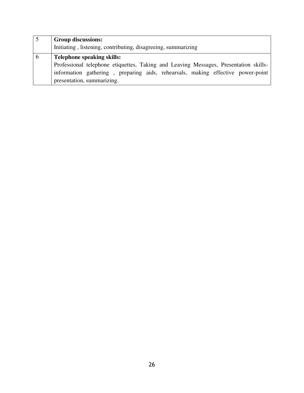|   | <b>Group discussions:</b>                                                            |
|---|--------------------------------------------------------------------------------------|
|   | Initiating, listening, contributing, disagreeing, summarizing                        |
| n | <b>Telephone speaking skills:</b>                                                    |
|   | Professional telephone etiquettes, Taking and Leaving Messages, Presentation skills- |
|   | information gathering, preparing aids, rehearsals, making effective power-point      |
|   | presentation, summarizing.                                                           |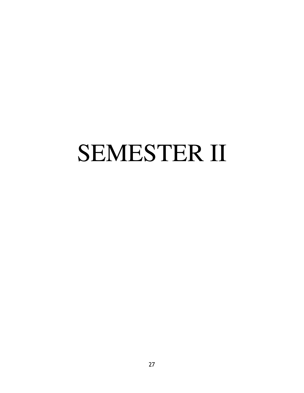# SEMESTER II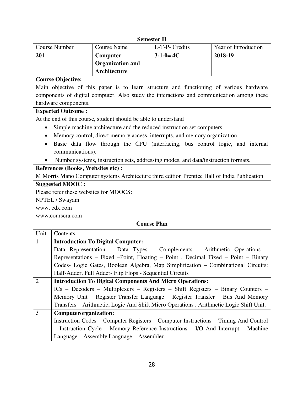# **Semester II**

|                                                                                           |                                                                                              | эсшемет п        |                      |
|-------------------------------------------------------------------------------------------|----------------------------------------------------------------------------------------------|------------------|----------------------|
| <b>Course Number</b>                                                                      | <b>Course Name</b>                                                                           | L-T-P- Credits   | Year of Introduction |
| 201                                                                                       | Computer                                                                                     | $3 - 1 - 0 = 4C$ | 2018-19              |
|                                                                                           | <b>Organization and</b>                                                                      |                  |                      |
|                                                                                           | Architecture                                                                                 |                  |                      |
| <b>Course Objective:</b>                                                                  |                                                                                              |                  |                      |
|                                                                                           | Main objective of this paper is to learn structure and functioning of various hardware       |                  |                      |
| components of digital computer. Also study the interactions and communication among these |                                                                                              |                  |                      |
| hardware components.                                                                      |                                                                                              |                  |                      |
| <b>Expected Outcome:</b>                                                                  |                                                                                              |                  |                      |
| At the end of this course, student should be able to understand                           |                                                                                              |                  |                      |
| Simple machine architecture and the reduced instruction set computers.                    |                                                                                              |                  |                      |
| Memory control, direct memory access, interrupts, and memory organization<br>$\bullet$    |                                                                                              |                  |                      |
| $\bullet$                                                                                 | Basic data flow through the CPU (interfacing, bus control logic, and internal                |                  |                      |
| communications).                                                                          |                                                                                              |                  |                      |
| Number systems, instruction sets, addressing modes, and data/instruction formats.         |                                                                                              |                  |                      |
| References (Books, Websites etc) :                                                        |                                                                                              |                  |                      |
|                                                                                           | M Morris Mano Computer systems Architecture third edition Prentice Hall of India Publication |                  |                      |

# **Suggested MOOC :**

Please refer these websites for MOOCS:

NPTEL / Swayam

www. edx.com

www.coursera.com

| Unit           | Contents                                                                               |
|----------------|----------------------------------------------------------------------------------------|
| 1              | <b>Introduction To Digital Computer:</b>                                               |
|                | Data Representation – Data Types – Complements – Arithmetic Operations –               |
|                | Representations – Fixed – Point, Floating – Point, Decimal Fixed – Point – Binary      |
|                | Codes- Logic Gates, Boolean Algebra, Map Simplification – Combinational Circuits:      |
|                | Half-Adder, Full Adder- Flip Flops - Sequential Circuits                               |
| $\overline{2}$ | <b>Introduction To Digital Components And Micro Operations:</b>                        |
|                | $ICS$ – Decoders – Multiplexers – Registers – Shift Registers – Binary Counters –      |
|                | Memory Unit – Register Transfer Language – Register Transfer – Bus And Memory          |
|                | Transfers – Arithmetic, Logic And Shift Micro Operations, Arithmetic Logic Shift Unit. |
| $\overline{3}$ | Computerorganization:                                                                  |
|                | Instruction Codes – Computer Registers – Computer Instructions – Timing And Control    |
|                | $-$ Instruction Cycle – Memory Reference Instructions – I/O And Interrupt – Machine    |
|                | Language – Assembly Language – Assembler.                                              |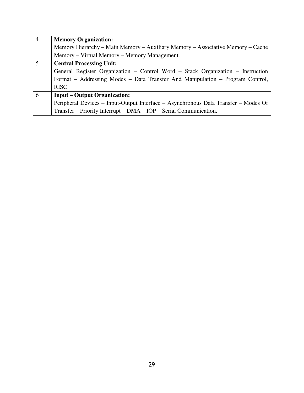| $\overline{4}$ | <b>Memory Organization:</b>                                                         |
|----------------|-------------------------------------------------------------------------------------|
|                | Memory Hierarchy – Main Memory – Auxiliary Memory – Associative Memory – Cache      |
|                | Memory – Virtual Memory – Memory Management.                                        |
| 5              | <b>Central Processing Unit:</b>                                                     |
|                | General Register Organization - Control Word - Stack Organization - Instruction     |
|                | Format – Addressing Modes – Data Transfer And Manipulation – Program Control,       |
|                | <b>RISC</b>                                                                         |
| 6              | <b>Input – Output Organization:</b>                                                 |
|                | Peripheral Devices – Input-Output Interface – Asynchronous Data Transfer – Modes Of |
|                | Transfer – Priority Interrupt – DMA – IOP – Serial Communication.                   |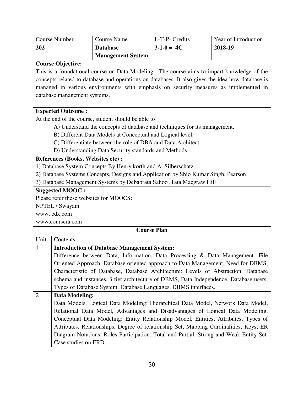| Course Number                                                                                                                                                                                                                                                                                                                      | <b>Course Name</b>       | L-T-P- Credits   | Year of Introduction |
|------------------------------------------------------------------------------------------------------------------------------------------------------------------------------------------------------------------------------------------------------------------------------------------------------------------------------------|--------------------------|------------------|----------------------|
| 202                                                                                                                                                                                                                                                                                                                                | <b>Database</b>          | $3 - 1 - 0 = 4C$ | 2018-19              |
|                                                                                                                                                                                                                                                                                                                                    | <b>Management System</b> |                  |                      |
| <b>Course Objective:</b>                                                                                                                                                                                                                                                                                                           |                          |                  |                      |
| $\mathbf{r}$ $\mathbf{r}$ $\mathbf{r}$ $\mathbf{r}$ $\mathbf{r}$ $\mathbf{r}$ $\mathbf{r}$ $\mathbf{r}$ $\mathbf{r}$ $\mathbf{r}$ $\mathbf{r}$ $\mathbf{r}$ $\mathbf{r}$ $\mathbf{r}$ $\mathbf{r}$ $\mathbf{r}$ $\mathbf{r}$ $\mathbf{r}$ $\mathbf{r}$ $\mathbf{r}$ $\mathbf{r}$ $\mathbf{r}$ $\mathbf{r}$ $\mathbf{r}$ $\mathbf{$ | <b>POST 1999</b>         | <b>EXTERNAL</b>  |                      |

This is a foundational course on Data Modeling. The course aims to impart knowledge of the concepts related to database and operations on databases. It also gives the idea how database is managed in various environments with emphasis on security measures as implemented in database management systems.

#### **Expected Outcome :**

At the end of the course, student should be able to

- A) Understand the concepts of database and techniques for its management.
- B) Different Data Models at Conceptual and Logical level.
- C) Differentiate between the role of DBA and Data Architect
- D) Understanding Data Security standards and Methods

#### **References (Books, Websites etc) :**

1) Database System Concepts By Henry korth and A. Silberschatz

2) Database Systems Concepts, Designs and Application by Shio Kumar Singh, Pearson

3) Database Management Systems by Debabrata Sahoo ,Tata Macgraw Hill

#### **Suggested MOOC :**

Please refer these websites for MOOCS:

NPTEL / Swayam

www. edx.com

www.coursera.com

|                | <b>Course Plan</b>                                                                     |
|----------------|----------------------------------------------------------------------------------------|
| Unit           | Contents                                                                               |
| $\mathbf{1}$   | <b>Introduction of Database Management System:</b>                                     |
|                | Difference between Data, Information, Data Processing & Data Management. File          |
|                | Oriented Approach, Database oriented approach to Data Management, Need for DBMS,       |
|                | Characteristic of Database, Database Architecture: Levels of Abstraction, Database     |
|                | schema and instances, 3 tier architecture of DBMS, Data Independence. Database users,  |
|                | Types of Database System. Database Languages, DBMS interfaces.                         |
| $\overline{2}$ | Data Modeling:                                                                         |
|                | Data Models, Logical Data Modeling: Hierarchical Data Model, Network Data Model,       |
|                | Relational Data Model, Advantages and Disadvantages of Logical Data Modeling.          |
|                | Conceptual Data Modeling: Entity Relationship Model, Entities, Attributes, Types of    |
|                | Attributes, Relationships, Degree of relationship Set, Mapping Cardinalities, Keys, ER |
|                | Diagram Notations, Roles Participation: Total and Partial, Strong and Weak Entity Set. |
|                | Case studies on ERD.                                                                   |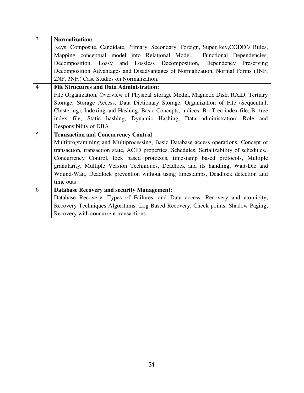| 3              | <b>Normalization:</b>                                                                      |  |  |
|----------------|--------------------------------------------------------------------------------------------|--|--|
|                | Keys: Composite, Candidate, Primary, Secondary, Foreign, Super key, CODD's Rules,          |  |  |
|                | Mapping conceptual model into Relational Model. Functional Dependencies,                   |  |  |
|                | Decomposition, Lossy and Lossless Decomposition, Dependency Preserving                     |  |  |
|                | Decomposition Advantages and Disadvantages of Normalization, Normal Forms (1NF,            |  |  |
|                | 2NF, 3NF, Case Studies on Normalization.                                                   |  |  |
| $\overline{4}$ | <b>File Structures and Data Administration:</b>                                            |  |  |
|                | File Organization, Overview of Physical Storage Media, Magnetic Disk, RAID, Tertiary       |  |  |
|                | Storage, Storage Access, Data Dictionary Storage, Organization of File (Sequential,        |  |  |
|                | Clustering), Indexing and Hashing, Basic Concepts, indices, B+ Tree index file, B- tree    |  |  |
|                | index file, Static hashing, Dynamic Hashing, Data administration, Role and                 |  |  |
|                | Responsibility of DBA                                                                      |  |  |
| 5              | <b>Transaction and Concurrency Control</b>                                                 |  |  |
|                | Multiprogramming and Multiprocessing, Basic Database access operations, Concept of         |  |  |
|                | transaction, transaction state, ACID properties, Schedules, Serializability of schedules., |  |  |
|                | Concurrency Control, lock based protocols, timestamp based protocols, Multiple             |  |  |
|                | granularity, Multiple Version Techniques, Deadlock and its handling, Wait-Die and          |  |  |
|                | Wound-Wait, Deadlock prevention without using timestamps, Deadlock detection and           |  |  |
|                | time outs                                                                                  |  |  |
| 6              | <b>Database Recovery and security Management:</b>                                          |  |  |
|                | Database Recovery, Types of Failures, and Data access. Recovery and atomicity,             |  |  |
|                | Recovery Techniques Algorithms: Log Based Recovery, Check points, Shadow Paging,           |  |  |
|                | Recovery with concurrent transactions                                                      |  |  |
|                |                                                                                            |  |  |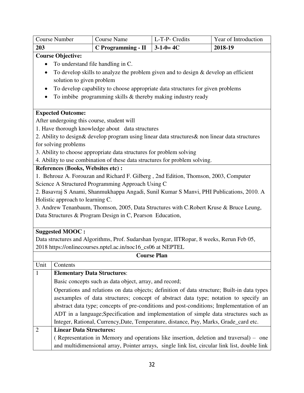| 203                  | C Programming - II $\vert$ 3-1-0= 4C |                | 2018-19              |
|----------------------|--------------------------------------|----------------|----------------------|
| <b>Course Number</b> | Course Name                          | L-T-P- Credits | Year of Introduction |

**Course Objective:** 

- To understand file handling in C.
- To develop skills to analyze the problem given and to design & develop an efficient solution to given problem
- To develop capability to choose appropriate data structures for given problems
- $\bullet$  To imbibe programming skills & thereby making industry ready

# **Expected Outcome:**

After undergoing this course, student will

1. Have thorough knowledge about data structures

2. Ability to design& develop program using linear data structures& non linear data structures for solving problems

3. Ability to choose appropriate data structures for problem solving

4. Ability to use combination of these data structures for problem solving.

# **References (Books, Websites etc) :**

1. Behrouz A. Forouzan and Richard F. Gilberg , 2nd Edition, Thomson, 2003, Computer Science A Structured Programming Approach Using C

2. Basavraj S Anami, Shanmukhappa Angadi, Sunil Kumar S Manvi, PHI Publications, 2010. A Holistic approach to learning C.

3. Andrew Tenanbaum, Thomson, 2005, Data Structures with C.Robert Kruse & Bruce Leung, Data Structures & Program Design in C, Pearson Education,

# **Suggested MOOC :**

Data structures and Algorithms, Prof. Sudarshan Iyengar, IITRopar, 8 weeks, Rerun Feb 05, 2018 https://onlinecourses.nptel.ac.in/noc16\_cs06 at NEPTEL

| Unit           | Contents                                                                                      |  |  |
|----------------|-----------------------------------------------------------------------------------------------|--|--|
| $\vert$ 1      | <b>Elementary Data Structures:</b>                                                            |  |  |
|                | Basic concepts such as data object, array, and record;                                        |  |  |
|                | Operations and relations on data objects; definition of data structure; Built-in data types   |  |  |
|                |                                                                                               |  |  |
|                | abstract data type; concepts of pre-conditions and post-conditions; Implementation of an      |  |  |
|                | ADT in a language; Specification and implementation of simple data structures such as         |  |  |
|                | Integer, Rational, Currency, Date, Temperature, distance, Pay, Marks, Grade_card etc.         |  |  |
| $\overline{2}$ | <b>Linear Data Structures:</b>                                                                |  |  |
|                | (Representation in Memory and operations like insertion, deletion and traversal) – one        |  |  |
|                | and multidimensional array, Pointer arrays, single link list, circular link list, double link |  |  |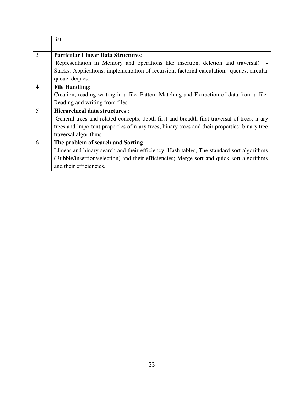|                | list                                                                                          |
|----------------|-----------------------------------------------------------------------------------------------|
|                |                                                                                               |
| 3              | <b>Particular Linear Data Structures:</b>                                                     |
|                | Representation in Memory and operations like insertion, deletion and traversal)               |
|                | Stacks: Applications: implementation of recursion, factorial calculation, queues, circular    |
|                | queue, deques;                                                                                |
| $\overline{4}$ | <b>File Handling:</b>                                                                         |
|                | Creation, reading writing in a file. Pattern Matching and Extraction of data from a file.     |
|                | Reading and writing from files.                                                               |
| 5              | <b>Hierarchical data structures:</b>                                                          |
|                | General trees and related concepts; depth first and breadth first traversal of trees; n-ary   |
|                | trees and important properties of n-ary trees; binary trees and their properties; binary tree |
|                | traversal algorithms.                                                                         |
| 6              | The problem of search and Sorting:                                                            |
|                | Llinear and binary search and their efficiency; Hash tables, The standard sort algorithms     |
|                | (Bubble/insertion/selection) and their efficiencies; Merge sort and quick sort algorithms     |
|                | and their efficiencies.                                                                       |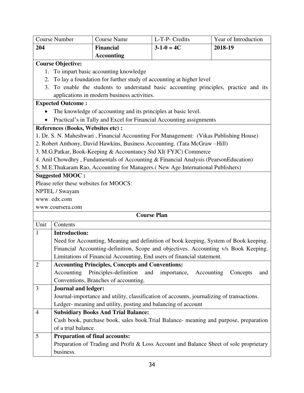|                | <b>Course Number</b>                                                                                                                                                        | <b>Course Name</b>                                             | L-T-P- Credits                                                                         | Year of Introduction |  |
|----------------|-----------------------------------------------------------------------------------------------------------------------------------------------------------------------------|----------------------------------------------------------------|----------------------------------------------------------------------------------------|----------------------|--|
| 204            |                                                                                                                                                                             | <b>Financial</b>                                               | $3-1-0=4C$                                                                             | 2018-19              |  |
|                |                                                                                                                                                                             | <b>Accounting</b>                                              |                                                                                        |                      |  |
|                | <b>Course Objective:</b>                                                                                                                                                    |                                                                |                                                                                        |                      |  |
| 1.             |                                                                                                                                                                             | To impart basic accounting knowledge                           |                                                                                        |                      |  |
| 2.             |                                                                                                                                                                             |                                                                | To lay a foundation for further study of accounting at higher level                    |                      |  |
| 3.             |                                                                                                                                                                             |                                                                | To enable the students to understand basic accounting principles, practice and its     |                      |  |
|                |                                                                                                                                                                             | applications in modern business activities.                    |                                                                                        |                      |  |
|                | <b>Expected Outcome:</b>                                                                                                                                                    |                                                                |                                                                                        |                      |  |
|                |                                                                                                                                                                             | The knowledge of accounting and its principles at basic level. |                                                                                        |                      |  |
|                |                                                                                                                                                                             |                                                                | Practical's in Tally and Excel for Financial Accounting assignments                    |                      |  |
|                | References (Books, Websites etc) :                                                                                                                                          |                                                                |                                                                                        |                      |  |
|                |                                                                                                                                                                             |                                                                | 1. Dr. S. N. Maheshwari, Financial Accounting For Management: (Vikas Publishing House) |                      |  |
|                |                                                                                                                                                                             |                                                                | 2. Robert Anthony, David Hawkins, Business Accounting. (Tata McGraw -Hill)             |                      |  |
|                |                                                                                                                                                                             |                                                                | 3. M.G.Patkar, Book-Keeping & Accountancy.Std XI(FYJC) Commerce                        |                      |  |
|                |                                                                                                                                                                             |                                                                | 4. Anil Chowdhry, Fundamentals of Accounting & Financial Analysis (PearsonEducation)   |                      |  |
|                |                                                                                                                                                                             |                                                                | 5. M.E.Thukaram Rao, Accounting for Managers. (New Age International Publishers)       |                      |  |
|                | <b>Suggested MOOC:</b>                                                                                                                                                      |                                                                |                                                                                        |                      |  |
|                | Please refer these websites for MOOCS:                                                                                                                                      |                                                                |                                                                                        |                      |  |
|                | NPTEL / Swayam                                                                                                                                                              |                                                                |                                                                                        |                      |  |
|                | www.edx.com                                                                                                                                                                 |                                                                |                                                                                        |                      |  |
|                | www.coursera.com                                                                                                                                                            |                                                                | <b>Course Plan</b>                                                                     |                      |  |
|                |                                                                                                                                                                             |                                                                |                                                                                        |                      |  |
| Unit           | Contents                                                                                                                                                                    |                                                                |                                                                                        |                      |  |
| 1              | <b>Introduction:</b>                                                                                                                                                        |                                                                |                                                                                        |                      |  |
|                | Need for Accounting, Meaning and definition of book keeping, System of Book keeping.<br>Financial Accounting-definition, Scope and objectives. Accounting v/s Book Keeping. |                                                                |                                                                                        |                      |  |
|                |                                                                                                                                                                             |                                                                |                                                                                        |                      |  |
|                |                                                                                                                                                                             |                                                                | Limitations of Financial Accounting, End users of financial statement.                 |                      |  |
| $\overline{2}$ | Accounting                                                                                                                                                                  | <b>Accounting Principles, Concepts and Conventions:</b>        |                                                                                        |                      |  |
|                | Principles-definition<br>and<br>importance,<br>Accounting<br>Concepts<br>and<br>Conventions, Branches of accounting.                                                        |                                                                |                                                                                        |                      |  |
| 3              |                                                                                                                                                                             |                                                                |                                                                                        |                      |  |
|                | <b>Journal and ledger:</b>                                                                                                                                                  |                                                                |                                                                                        |                      |  |
|                | Journal-importance and utility, classification of accounts, journalizing of transactions.<br>Ledger- meaning and utility, posting and balancing of account                  |                                                                |                                                                                        |                      |  |
| $\overline{4}$ |                                                                                                                                                                             | <b>Subsidiary Books And Trial Balance:</b>                     |                                                                                        |                      |  |
|                |                                                                                                                                                                             |                                                                |                                                                                        |                      |  |
|                | Cash book, purchase book, sales book. Trial Balance- meaning and purpose, preparation<br>of a trial balance.                                                                |                                                                |                                                                                        |                      |  |
| 5              | <b>Preparation of final accounts:</b>                                                                                                                                       |                                                                |                                                                                        |                      |  |
|                |                                                                                                                                                                             |                                                                | Preparation of Trading and Profit & Loss Account and Balance Sheet of sole proprietary |                      |  |
|                | business.                                                                                                                                                                   |                                                                |                                                                                        |                      |  |
|                |                                                                                                                                                                             |                                                                |                                                                                        |                      |  |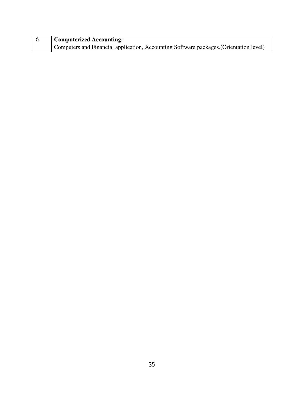| <b>Computerized Accounting:</b>                                                        |  |  |
|----------------------------------------------------------------------------------------|--|--|
| Computers and Financial application, Accounting Software packages. (Orientation level) |  |  |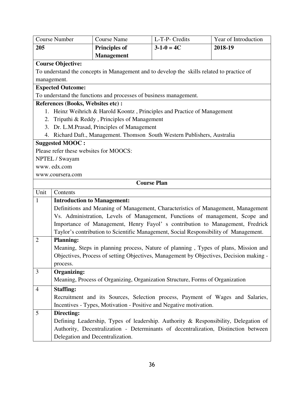|                   | <b>Course Number</b>                                                                   | <b>Course Name</b>                                                                        | L-T-P- Credits     | Year of Introduction                                                                |  |
|-------------------|----------------------------------------------------------------------------------------|-------------------------------------------------------------------------------------------|--------------------|-------------------------------------------------------------------------------------|--|
| 205               |                                                                                        | <b>Principles of</b>                                                                      | $3-1-0=4C$         | 2018-19                                                                             |  |
| <b>Management</b> |                                                                                        |                                                                                           |                    |                                                                                     |  |
|                   | <b>Course Objective:</b>                                                               |                                                                                           |                    |                                                                                     |  |
|                   |                                                                                        | To understand the concepts in Management and to develop the skills related to practice of |                    |                                                                                     |  |
|                   | management.                                                                            |                                                                                           |                    |                                                                                     |  |
|                   | <b>Expected Outcome:</b>                                                               |                                                                                           |                    |                                                                                     |  |
|                   |                                                                                        | To understand the functions and processes of business management.                         |                    |                                                                                     |  |
|                   | References (Books, Websites etc) :                                                     |                                                                                           |                    |                                                                                     |  |
|                   |                                                                                        | 1. Heinz Weihrich & Harold Koontz, Principles and Practice of Management                  |                    |                                                                                     |  |
| 2.                |                                                                                        | Tripathi & Reddy, Principles of Management                                                |                    |                                                                                     |  |
|                   |                                                                                        | 3. Dr. L.M.Prasad, Principles of Management                                               |                    |                                                                                     |  |
|                   |                                                                                        | 4. Richard Daft., Management. Thomson South Western Publishers, Australia                 |                    |                                                                                     |  |
|                   | <b>Suggested MOOC:</b>                                                                 |                                                                                           |                    |                                                                                     |  |
|                   |                                                                                        | Please refer these websites for MOOCS:                                                    |                    |                                                                                     |  |
|                   | NPTEL / Swayam                                                                         |                                                                                           |                    |                                                                                     |  |
|                   | www.edx.com                                                                            |                                                                                           |                    |                                                                                     |  |
|                   | www.coursera.com                                                                       |                                                                                           |                    |                                                                                     |  |
|                   |                                                                                        |                                                                                           | <b>Course Plan</b> |                                                                                     |  |
| Unit              | Contents                                                                               |                                                                                           |                    |                                                                                     |  |
| $\mathbf{1}$      |                                                                                        | <b>Introduction to Management:</b>                                                        |                    |                                                                                     |  |
|                   | Definitions and Meaning of Management, Characteristics of Management, Management       |                                                                                           |                    |                                                                                     |  |
|                   | Vs. Administration, Levels of Management, Functions of management, Scope and           |                                                                                           |                    |                                                                                     |  |
|                   |                                                                                        |                                                                                           |                    | Importance of Management, Henry Fayol' s contribution to Management, Fredrick       |  |
|                   |                                                                                        | Taylor's contribution to Scientific Management, Social Responsibility of Management.      |                    |                                                                                     |  |
| $\overline{2}$    | <b>Planning:</b>                                                                       |                                                                                           |                    |                                                                                     |  |
|                   |                                                                                        |                                                                                           |                    | Meaning, Steps in planning process, Nature of planning, Types of plans, Mission and |  |
|                   | Objectives, Process of setting Objectives, Management by Objectives, Decision making - |                                                                                           |                    |                                                                                     |  |
|                   | process.                                                                               |                                                                                           |                    |                                                                                     |  |
| 3                 | <b>Organizing:</b>                                                                     |                                                                                           |                    |                                                                                     |  |
|                   | Meaning, Process of Organizing, Organization Structure, Forms of Organization          |                                                                                           |                    |                                                                                     |  |
| 4                 | <b>Staffing:</b>                                                                       |                                                                                           |                    |                                                                                     |  |
|                   | Recruitment and its Sources, Selection process, Payment of Wages and Salaries,         |                                                                                           |                    |                                                                                     |  |
|                   |                                                                                        | Incentives - Types, Motivation - Positive and Negative motivation.                        |                    |                                                                                     |  |
| 5                 | Directing:                                                                             |                                                                                           |                    |                                                                                     |  |
|                   |                                                                                        |                                                                                           |                    | Defining Leadership, Types of leadership. Authority & Responsibility, Delegation of |  |
|                   |                                                                                        |                                                                                           |                    | Authority, Decentralization - Determinants of decentralization, Distinction between |  |
|                   |                                                                                        | Delegation and Decentralization.                                                          |                    |                                                                                     |  |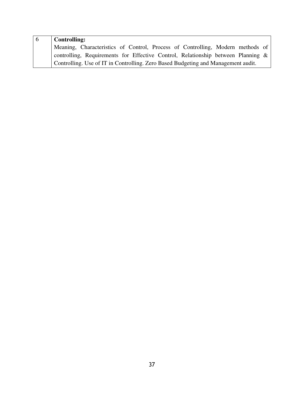| l 6 | <b>Controlling:</b>                                                                 |
|-----|-------------------------------------------------------------------------------------|
|     | Meaning, Characteristics of Control, Process of Controlling, Modern methods of      |
|     | controlling, Requirements for Effective Control, Relationship between Planning $\&$ |
|     | Controlling. Use of IT in Controlling. Zero Based Budgeting and Management audit.   |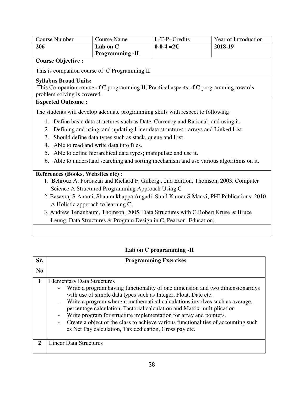| <b>Course Number</b>      | Course Name            | L-T-P- Credits   | Year of Introduction |
|---------------------------|------------------------|------------------|----------------------|
| <b>206</b>                | Lab on C               | $0 - 0 - 4 = 2C$ | 2018-19              |
|                           | <b>Programming -II</b> |                  |                      |
| <b>Course Objective :</b> |                        |                  |                      |

This is companion course of C Programming II

# **Syllabus Broad Units:**

 This Companion course of C programming II; Practical aspects of C programming towards problem solving is covered.

# **Expected Outcome :**

The students will develop adequate programming skills with respect to following

- 1. Define basic data structures such as Date, Currency and Rational; and using it.
- 2. Defining and using and updating Liner data structures : arrays and Linked List
- 3. Should define data types such as stack, queue and List
- 4. Able to read and write data into files.
- 5. Able to define hierarchical data types; manipulate and use it.
- 6. Able to understand searching and sorting mechanism and use various algorithms on it.

# **References (Books, Websites etc) :**

- 1. Behrouz A. Forouzan and Richard F. Gilberg , 2nd Edition, Thomson, 2003, Computer Science A Structured Programming Approach Using C
- 2. Basavraj S Anami, Shanmukhappa Angadi, Sunil Kumar S Manvi, PHI Publications, 2010. A Holistic approach to learning C.
- 3. Andrew Tenanbaum, Thomson, 2005, Data Structures with C.Robert Kruse & Bruce Leung, Data Structures & Program Design in C, Pearson Education,

# **Lab on C programming -II**

| Sr.            | <b>Programming Exercises</b>                                                                                                                                                                                                                                                                                                                                                                                                                                                                                                                                                                                                       |  |  |
|----------------|------------------------------------------------------------------------------------------------------------------------------------------------------------------------------------------------------------------------------------------------------------------------------------------------------------------------------------------------------------------------------------------------------------------------------------------------------------------------------------------------------------------------------------------------------------------------------------------------------------------------------------|--|--|
| N <sub>0</sub> |                                                                                                                                                                                                                                                                                                                                                                                                                                                                                                                                                                                                                                    |  |  |
|                | <b>Elementary Data Structures</b>                                                                                                                                                                                                                                                                                                                                                                                                                                                                                                                                                                                                  |  |  |
|                | Write a program having functionality of one dimension and two dimensionarrays<br>$\qquad \qquad -$<br>with use of simple data types such as Integer, Float, Date etc.<br>Write a program wherein mathematical calculations involves such as average,<br>$\overline{\phantom{0}}$<br>percentage calculation, Factorial calculation and Matrix multiplication<br>Write program for structure implementation for array and pointers.<br>$\qquad \qquad -$<br>Create a object of the class to achieve various functionalities of accounting such<br>$\overline{\phantom{0}}$<br>as Net Pay calculation, Tax dedication, Gross pay etc. |  |  |
| 2.             | <b>Linear Data Structures</b>                                                                                                                                                                                                                                                                                                                                                                                                                                                                                                                                                                                                      |  |  |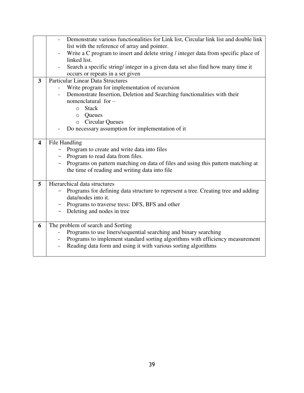|                         | Demonstrate various functionalities for Link list, Circular link list and double link                                                           |  |  |  |
|-------------------------|-------------------------------------------------------------------------------------------------------------------------------------------------|--|--|--|
|                         | list with the reference of array and pointer.                                                                                                   |  |  |  |
|                         | Write a C program to insert and delete string / integer data from specific place of                                                             |  |  |  |
|                         | linked list.                                                                                                                                    |  |  |  |
|                         | Search a specific string/integer in a given data set also find how many time it                                                                 |  |  |  |
|                         | occurs or repeats in a set given                                                                                                                |  |  |  |
| $\overline{\mathbf{3}}$ | <b>Particular Linear Data Structures</b>                                                                                                        |  |  |  |
|                         | Write program for implementation of recursion                                                                                                   |  |  |  |
|                         | Demonstrate Insertion, Deletion and Searching functionalities with their                                                                        |  |  |  |
|                         | nomenclatural for -                                                                                                                             |  |  |  |
|                         | <b>Stack</b><br>$\circ$                                                                                                                         |  |  |  |
|                         | Queues<br>$\circ$                                                                                                                               |  |  |  |
|                         | <b>Circular Queues</b><br>$\circ$                                                                                                               |  |  |  |
|                         | Do necessary assumption for implementation of it                                                                                                |  |  |  |
|                         |                                                                                                                                                 |  |  |  |
| $\overline{\mathbf{4}}$ | File Handling                                                                                                                                   |  |  |  |
|                         | Program to create and write data into files                                                                                                     |  |  |  |
|                         | Program to read data from files.                                                                                                                |  |  |  |
|                         | Programs on pattern matching on data of files and using this pattern matching at                                                                |  |  |  |
|                         | the time of reading and writing data into file                                                                                                  |  |  |  |
|                         |                                                                                                                                                 |  |  |  |
| 5                       | Hierarchical data structures                                                                                                                    |  |  |  |
|                         | Programs for defining data structure to represent a tree. Creating tree and adding                                                              |  |  |  |
|                         | data/nodes into it.                                                                                                                             |  |  |  |
|                         | Programs to traverse tress: DFS, BFS and other                                                                                                  |  |  |  |
|                         | Deleting and nodes in tree                                                                                                                      |  |  |  |
|                         |                                                                                                                                                 |  |  |  |
| 6                       | The problem of search and Sorting                                                                                                               |  |  |  |
|                         | Programs to use liners/sequential searching and binary searching                                                                                |  |  |  |
|                         |                                                                                                                                                 |  |  |  |
|                         |                                                                                                                                                 |  |  |  |
|                         | Programs to implement standard sorting algorithms with efficiency measurement<br>Reading data form and using it with various sorting algorithms |  |  |  |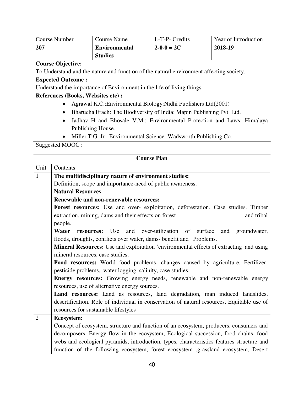| <b>Course Number</b> |                                                                                            | <b>Course Name</b>                                                                        | L-T-P- Credits                                                                     | Year of Introduction                                                                          |
|----------------------|--------------------------------------------------------------------------------------------|-------------------------------------------------------------------------------------------|------------------------------------------------------------------------------------|-----------------------------------------------------------------------------------------------|
| 207                  |                                                                                            | <b>Environmental</b>                                                                      | $2 - 0 - 0 = 2C$                                                                   | 2018-19                                                                                       |
|                      |                                                                                            | <b>Studies</b>                                                                            |                                                                                    |                                                                                               |
|                      | <b>Course Objective:</b>                                                                   |                                                                                           |                                                                                    |                                                                                               |
|                      |                                                                                            | To Understand and the nature and function of the natural environment affecting society.   |                                                                                    |                                                                                               |
|                      | <b>Expected Outcome:</b>                                                                   |                                                                                           |                                                                                    |                                                                                               |
|                      |                                                                                            | Understand the importance of Environment in the life of living things.                    |                                                                                    |                                                                                               |
|                      | References (Books, Websites etc) :                                                         |                                                                                           |                                                                                    |                                                                                               |
|                      |                                                                                            | Agrawal K.C.: Environmental Biology: Nidhi Publishers Ltd(2001)                           |                                                                                    |                                                                                               |
|                      | ٠                                                                                          | Bharucha Erach: The Biodiversity of India: Mapin Publishing Pvt. Ltd.                     |                                                                                    |                                                                                               |
|                      |                                                                                            |                                                                                           |                                                                                    | Jadhav H and Bhosale V.M.: Environmental Protection and Laws: Himalaya                        |
|                      |                                                                                            | Publishing House.                                                                         |                                                                                    |                                                                                               |
|                      | $\bullet$                                                                                  | Miller T.G. Jr.: Environmental Science: Wadsworth Publishing Co.                          |                                                                                    |                                                                                               |
|                      | Suggested MOOC:                                                                            |                                                                                           |                                                                                    |                                                                                               |
|                      |                                                                                            |                                                                                           | <b>Course Plan</b>                                                                 |                                                                                               |
| Unit                 | Contents                                                                                   |                                                                                           |                                                                                    |                                                                                               |
| 1                    |                                                                                            | The multidisciplinary nature of environment studies:                                      |                                                                                    |                                                                                               |
|                      |                                                                                            | Definition, scope and importance-need of public awareness.                                |                                                                                    |                                                                                               |
|                      | <b>Natural Resources:</b>                                                                  |                                                                                           |                                                                                    |                                                                                               |
|                      |                                                                                            | Renewable and non-renewable resources:                                                    |                                                                                    |                                                                                               |
|                      |                                                                                            | Forest resources: Use and over- exploitation, deforestation. Case studies. Timber         |                                                                                    |                                                                                               |
|                      |                                                                                            | extraction, mining, dams and their effects on forest                                      |                                                                                    | and tribal                                                                                    |
|                      | people.                                                                                    |                                                                                           |                                                                                    |                                                                                               |
|                      | Water<br>resources:                                                                        | Use<br>and                                                                                | over-utilization of<br>surface                                                     | and<br>groundwater,                                                                           |
|                      |                                                                                            | floods, droughts, conflicts over water, dams- benefit and Problems.                       |                                                                                    |                                                                                               |
|                      |                                                                                            |                                                                                           |                                                                                    | <b>Mineral Resources:</b> Use and exploitation 'environmental effects of extracting and using |
|                      | mineral resources, case studies.                                                           |                                                                                           |                                                                                    |                                                                                               |
|                      |                                                                                            | Food resources: World food problems, changes caused by agriculture. Fertilizer-           |                                                                                    |                                                                                               |
|                      |                                                                                            | pesticide problems, water logging, salinity, case studies.                                |                                                                                    |                                                                                               |
|                      |                                                                                            | Energy resources: Growing energy needs, renewable and non-renewable energy                |                                                                                    |                                                                                               |
|                      | resources, use of alternative energy sources.                                              |                                                                                           |                                                                                    |                                                                                               |
|                      |                                                                                            | Land resources: Land as resources, land degradation, man induced landslides,              |                                                                                    |                                                                                               |
|                      | desertification. Role of individual in conservation of natural resources. Equitable use of |                                                                                           |                                                                                    |                                                                                               |
|                      |                                                                                            | resources for sustainable lifestyles                                                      |                                                                                    |                                                                                               |
| $\overline{2}$       | <b>Ecosystem:</b>                                                                          |                                                                                           |                                                                                    |                                                                                               |
|                      |                                                                                            | Concept of ecosystem, structure and function of an ecosystem, producers, consumers and    |                                                                                    |                                                                                               |
|                      |                                                                                            | decomposers .Energy flow in the ecosystem, Ecological succession, food chains, food       |                                                                                    |                                                                                               |
|                      |                                                                                            | webs and ecological pyramids, introduction, types, characteristics features structure and |                                                                                    |                                                                                               |
|                      |                                                                                            |                                                                                           | function of the following ecosystem, forest ecosystem ,grassland ecosystem, Desert |                                                                                               |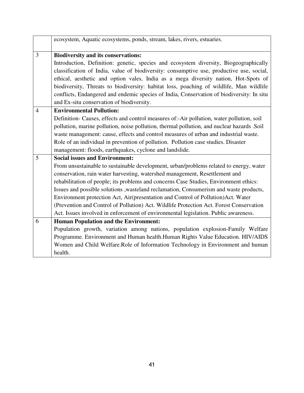|                | ecosystem, Aquatic ecosystems, ponds, stream, lakes, rivers, estuaries.                    |  |  |  |
|----------------|--------------------------------------------------------------------------------------------|--|--|--|
| 3              | <b>Biodiversity and its conservations:</b>                                                 |  |  |  |
|                | Introduction, Definition: genetic, species and ecosystem diversity, Biogeographically      |  |  |  |
|                | classification of India, value of biodiversity: consumptive use, productive use, social,   |  |  |  |
|                | ethical, aesthetic and option vales, India as a mega diversity nation, Hot-Spots of        |  |  |  |
|                | biodiversity, Threats to biodiversity: habitat loss, poaching of wildlife, Man wildlife    |  |  |  |
|                | conflicts, Endangered and endemic species of India, Conservation of biodiversity: In situ  |  |  |  |
|                | and Ex-situ conservation of biodiversity.                                                  |  |  |  |
| $\overline{4}$ | <b>Environmental Pollution:</b>                                                            |  |  |  |
|                | Definition- Causes, effects and control measures of:-Air pollution, water pollution, soil  |  |  |  |
|                | pollution, marine pollution, noise pollution, thermal pollution, and nuclear hazards .Soil |  |  |  |
|                | waste management: cause, effects and control measures of urban and industrial waste.       |  |  |  |
|                | Role of an individual in prevention of pollution. Pollution case studies. Disaster         |  |  |  |
|                | management: floods, earthquakes, cyclone and landslide.                                    |  |  |  |
| 5              | <b>Social issues and Environment:</b>                                                      |  |  |  |
|                | From unsustainable to sustainable development, urban/problems related to energy, water     |  |  |  |
|                | conservation, rain water harvesting, watershed management, Resettlement and                |  |  |  |
|                | rehabilitation of people; its problems and concerns Case Studies, Environment ethics:      |  |  |  |
|                | Issues and possible solutions , wasteland reclamation, Consumerism and waste products,     |  |  |  |
|                | Environment protection Act, Air(presentation and Control of Pollution)Act. Water           |  |  |  |
|                | (Prevention and Control of Pollution) Act. Wildlife Protection Act. Forest Conservation    |  |  |  |
|                | Act. Issues involved in enforcement of environmental legislation. Public awareness.        |  |  |  |
| 6              | <b>Human Population and the Environment:</b>                                               |  |  |  |
|                | Population growth, variation among nations, population explosion-Family Welfare            |  |  |  |
|                | Programme. Environment and Human health.Human Rights Value Education. HIV/AIDS             |  |  |  |
|                | Women and Child Welfare.Role of Information Technology in Environment and human            |  |  |  |
|                | health.                                                                                    |  |  |  |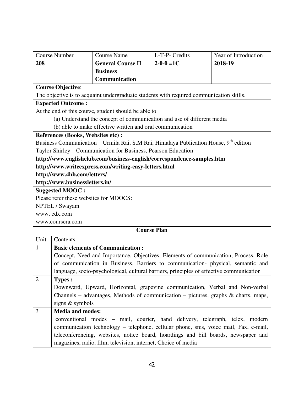|                                                                                                                                                                     | <b>Course Number</b>                                                                | <b>Course Name</b>                                            | L-T-P- Credits                                                                          | Year of Introduction |  |  |
|---------------------------------------------------------------------------------------------------------------------------------------------------------------------|-------------------------------------------------------------------------------------|---------------------------------------------------------------|-----------------------------------------------------------------------------------------|----------------------|--|--|
| 208                                                                                                                                                                 |                                                                                     | <b>General Course II</b>                                      | $2 - 0 - 0 = 1C$                                                                        | 2018-19              |  |  |
|                                                                                                                                                                     |                                                                                     | <b>Business</b>                                               |                                                                                         |                      |  |  |
|                                                                                                                                                                     |                                                                                     | Communication                                                 |                                                                                         |                      |  |  |
| <b>Course Objective:</b>                                                                                                                                            |                                                                                     |                                                               |                                                                                         |                      |  |  |
| The objective is to acquaint undergraduate students with required communication skills.                                                                             |                                                                                     |                                                               |                                                                                         |                      |  |  |
| <b>Expected Outcome:</b>                                                                                                                                            |                                                                                     |                                                               |                                                                                         |                      |  |  |
| At the end of this course, student should be able to                                                                                                                |                                                                                     |                                                               |                                                                                         |                      |  |  |
| (a) Understand the concept of communication and use of different media                                                                                              |                                                                                     |                                                               |                                                                                         |                      |  |  |
| (b) able to make effective written and oral communication                                                                                                           |                                                                                     |                                                               |                                                                                         |                      |  |  |
| References (Books, Websites etc) :                                                                                                                                  |                                                                                     |                                                               |                                                                                         |                      |  |  |
| Business Communication – Urmila Rai, S.M Rai, Himalaya Publication House, 9 <sup>th</sup> edition<br>Taylor Shirley – Communication for Business, Pearson Education |                                                                                     |                                                               |                                                                                         |                      |  |  |
|                                                                                                                                                                     |                                                                                     |                                                               |                                                                                         |                      |  |  |
|                                                                                                                                                                     |                                                                                     |                                                               | http://www.englishclub.com/business-english/correspondence-samples.htm                  |                      |  |  |
|                                                                                                                                                                     |                                                                                     | http://www.writeexpress.com/writing-easy-letters.html         |                                                                                         |                      |  |  |
| http://www.4hb.com/letters/                                                                                                                                         |                                                                                     |                                                               |                                                                                         |                      |  |  |
| http://www.businessletters.in/<br><b>Suggested MOOC:</b>                                                                                                            |                                                                                     |                                                               |                                                                                         |                      |  |  |
|                                                                                                                                                                     |                                                                                     |                                                               |                                                                                         |                      |  |  |
| Please refer these websites for MOOCS:<br>NPTEL / Swayam                                                                                                            |                                                                                     |                                                               |                                                                                         |                      |  |  |
|                                                                                                                                                                     | www.edx.com                                                                         |                                                               |                                                                                         |                      |  |  |
|                                                                                                                                                                     | www.coursera.com                                                                    |                                                               |                                                                                         |                      |  |  |
| <b>Course Plan</b>                                                                                                                                                  |                                                                                     |                                                               |                                                                                         |                      |  |  |
| Unit                                                                                                                                                                | Contents                                                                            |                                                               |                                                                                         |                      |  |  |
| 1                                                                                                                                                                   | <b>Basic elements of Communication:</b>                                             |                                                               |                                                                                         |                      |  |  |
|                                                                                                                                                                     |                                                                                     |                                                               | Concept, Need and Importance, Objectives, Elements of communication, Process, Role      |                      |  |  |
|                                                                                                                                                                     |                                                                                     |                                                               | of communication in Business, Barriers to communication- physical, semantic and         |                      |  |  |
|                                                                                                                                                                     |                                                                                     |                                                               | language, socio-psychological, cultural barriers, principles of effective communication |                      |  |  |
| $\overline{2}$                                                                                                                                                      | <b>Types:</b>                                                                       |                                                               |                                                                                         |                      |  |  |
|                                                                                                                                                                     |                                                                                     |                                                               | Downward, Upward, Horizontal, grapevine communication, Verbal and Non-verbal            |                      |  |  |
|                                                                                                                                                                     |                                                                                     |                                                               | Channels – advantages, Methods of communication – pictures, graphs $\&$ charts, maps,   |                      |  |  |
|                                                                                                                                                                     | signs & symbols                                                                     |                                                               |                                                                                         |                      |  |  |
| 3                                                                                                                                                                   | <b>Media and modes:</b>                                                             |                                                               |                                                                                         |                      |  |  |
|                                                                                                                                                                     |                                                                                     |                                                               | conventional modes – mail, courier, hand delivery, telegraph, telex, modern             |                      |  |  |
|                                                                                                                                                                     | communication technology - telephone, cellular phone, sms, voice mail, Fax, e-mail, |                                                               |                                                                                         |                      |  |  |
|                                                                                                                                                                     |                                                                                     |                                                               | teleconferencing, websites, notice board, hoardings and bill boards, newspaper and      |                      |  |  |
|                                                                                                                                                                     |                                                                                     | magazines, radio, film, television, internet, Choice of media |                                                                                         |                      |  |  |